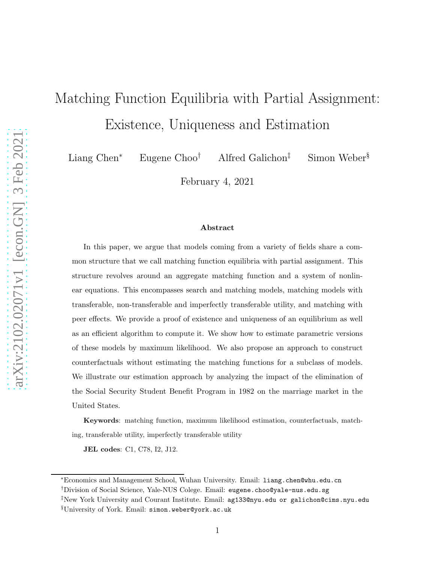# Matching Function Equilibria with Partial Assignment: Existence, Uniqueness and Estimation

Liang Chen<sup>∗</sup> Eugene Choo† Alfred Galichon‡ Simon Weber§

February 4, 2021

#### Abstract

In this paper, we argue that models coming from a variety of fields share a common structure that we call matching function equilibria with partial assignment. This structure revolves around an aggregate matching function and a system of nonlinear equations. This encompasses search and matching models, matching models with transferable, non-transferable and imperfectly transferable utility, and matching with peer effects. We provide a proof of existence and uniqueness of an equilibrium as well as an efficient algorithm to compute it. We show how to estimate parametric versions of these models by maximum likelihood. We also propose an approach to construct counterfactuals without estimating the matching functions for a subclass of models. We illustrate our estimation approach by analyzing the impact of the elimination of the Social Security Student Benefit Program in 1982 on the marriage market in the United States.

Keywords: matching function, maximum likelihood estimation, counterfactuals, matching, transferable utility, imperfectly transferable utility

JEL codes: C1, C78, I2, J12.

<sup>∗</sup>Economics and Management School, Wuhan University. Email: liang.chen@whu.edu.cn

<sup>†</sup>Division of Social Science, Yale-NUS Colege. Email: eugene.choo@yale-nus.edu.sg

<sup>‡</sup>New York University and Courant Institute. Email: ag133@nyu.edu or galichon@cims.nyu.edu §University of York. Email: simon.weber@york.ac.uk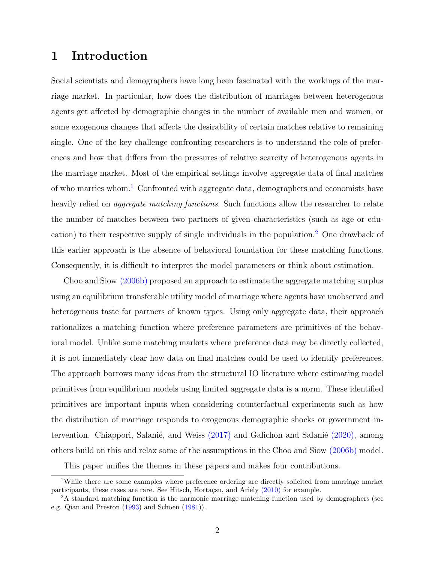# 1 Introduction

Social scientists and demographers have long been fascinated with the workings of the marriage market. In particular, how does the distribution of marriages between heterogenous agents get affected by demographic changes in the number of available men and women, or some exogenous changes that affects the desirability of certain matches relative to remaining single. One of the key challenge confronting researchers is to understand the role of preferences and how that differs from the pressures of relative scarcity of heterogenous agents in the marriage market. Most of the empirical settings involve aggregate data of final matches of who marries whom.<sup>1</sup> Confronted with aggregate data, demographers and economists have heavily relied on *aggregate matching functions*. Such functions allow the researcher to relate the number of matches between two partners of given characteristics (such as age or education) to their respective supply of single individuals in the population. <sup>2</sup> One drawback of this earlier approach is the absence of behavioral foundation for these matching functions. Consequently, it is difficult to interpret the model parameters or think about estimation.

Choo and Siow [\(2006b\)](#page-34-0) proposed an approach to estimate the aggregate matching surplus using an equilibrium transferable utility model of marriage where agents have unobserved and heterogenous taste for partners of known types. Using only aggregate data, their approach rationalizes a matching function where preference parameters are primitives of the behavioral model. Unlike some matching markets where preference data may be directly collected, it is not immediately clear how data on final matches could be used to identify preferences. The approach borrows many ideas from the structural IO literature where estimating model primitives from equilibrium models using limited aggregate data is a norm. These identified primitives are important inputs when considering counterfactual experiments such as how the distribution of marriage responds to exogenous demographic shocks or government intervention. Chiappori, Salanié, and Weiss  $(2017)$  and Galichon and Salanié  $(2020)$ , among others build on this and relax some of the assumptions in the Choo and Siow [\(2006b\)](#page-34-0) model.

This paper unifies the themes in these papers and makes four contributions.

<sup>&</sup>lt;sup>1</sup>While there are some examples where preference ordering are directly solicited from marriage market participants, these cases are rare. See Hitsch, Hortaçsu, and Ariely  $(2010)$  for example.

<sup>&</sup>lt;sup>2</sup>A standard matching function is the harmonic marriage matching function used by demographers (see e.g. Qian and Preston [\(1993\)](#page-36-0) and Schoen [\(1981\)](#page-36-1)).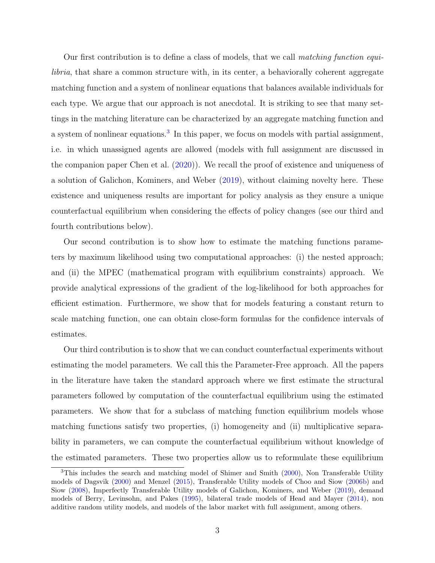Our first contribution is to define a class of models, that we call matching function equilibria, that share a common structure with, in its center, a behaviorally coherent aggregate matching function and a system of nonlinear equations that balances available individuals for each type. We argue that our approach is not anecdotal. It is striking to see that many settings in the matching literature can be characterized by an aggregate matching function and a system of nonlinear equations.<sup>3</sup> In this paper, we focus on models with partial assignment, i.e. in which unassigned agents are allowed (models with full assignment are discussed in the companion paper Chen et al. [\(2020\)](#page-34-2)). We recall the proof of existence and uniqueness of a solution of Galichon, Kominers, and Weber [\(2019](#page-35-2)), without claiming novelty here. These existence and uniqueness results are important for policy analysis as they ensure a unique counterfactual equilibrium when considering the effects of policy changes (see our third and fourth contributions below).

Our second contribution is to show how to estimate the matching functions parameters by maximum likelihood using two computational approaches: (i) the nested approach; and (ii) the MPEC (mathematical program with equilibrium constraints) approach. We provide analytical expressions of the gradient of the log-likelihood for both approaches for efficient estimation. Furthermore, we show that for models featuring a constant return to scale matching function, one can obtain close-form formulas for the confidence intervals of estimates.

Our third contribution is to show that we can conduct counterfactual experiments without estimating the model parameters. We call this the Parameter-Free approach. All the papers in the literature have taken the standard approach where we first estimate the structural parameters followed by computation of the counterfactual equilibrium using the estimated parameters. We show that for a subclass of matching function equilibrium models whose matching functions satisfy two properties, (i) homogeneity and (ii) multiplicative separability in parameters, we can compute the counterfactual equilibrium without knowledge of the estimated parameters. These two properties allow us to reformulate these equilibrium

<sup>&</sup>lt;sup>3</sup>This includes the search and matching model of Shimer and Smith [\(2000\)](#page-37-0), Non Transferable Utility models of Dagsvik [\(2000\)](#page-34-3) and Menzel [\(2015\)](#page-36-2), Transferable Utility models of Choo and Siow [\(2006b](#page-34-0)) and Siow [\(2008](#page-37-1)), Imperfectly Transferable Utility models of Galichon, Kominers, and Weber [\(2019\)](#page-35-2), demand models of Berry, Levinsohn, and Pakes [\(1995\)](#page-34-4), bilateral trade models of Head and Mayer [\(2014](#page-35-3)), non additive random utility models, and models of the labor market with full assignment, among others.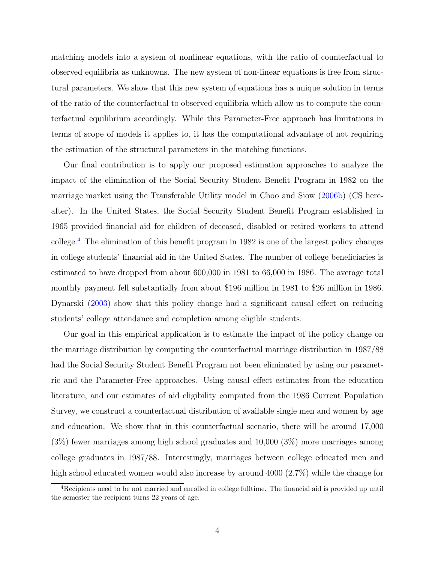matching models into a system of nonlinear equations, with the ratio of counterfactual to observed equilibria as unknowns. The new system of non-linear equations is free from structural parameters. We show that this new system of equations has a unique solution in terms of the ratio of the counterfactual to observed equilibria which allow us to compute the counterfactual equilibrium accordingly. While this Parameter-Free approach has limitations in terms of scope of models it applies to, it has the computational advantage of not requiring the estimation of the structural parameters in the matching functions.

Our final contribution is to apply our proposed estimation approaches to analyze the impact of the elimination of the Social Security Student Benefit Program in 1982 on the marriage market using the Transferable Utility model in Choo and Siow [\(2006b](#page-34-0)) (CS hereafter). In the United States, the Social Security Student Benefit Program established in 1965 provided financial aid for children of deceased, disabled or retired workers to attend college.<sup>4</sup> The elimination of this benefit program in 1982 is one of the largest policy changes in college students' financial aid in the United States. The number of college beneficiaries is estimated to have dropped from about 600,000 in 1981 to 66,000 in 1986. The average total monthly payment fell substantially from about \$196 million in 1981 to \$26 million in 1986. Dynarski [\(2003](#page-35-4)) show that this policy change had a significant causal effect on reducing students' college attendance and completion among eligible students.

Our goal in this empirical application is to estimate the impact of the policy change on the marriage distribution by computing the counterfactual marriage distribution in 1987/88 had the Social Security Student Benefit Program not been eliminated by using our parametric and the Parameter-Free approaches. Using causal effect estimates from the education literature, and our estimates of aid eligibility computed from the 1986 Current Population Survey, we construct a counterfactual distribution of available single men and women by age and education. We show that in this counterfactual scenario, there will be around 17,000 (3%) fewer marriages among high school graduates and 10,000 (3%) more marriages among college graduates in 1987/88. Interestingly, marriages between college educated men and high school educated women would also increase by around 4000 (2.7%) while the change for

<sup>&</sup>lt;sup>4</sup>Recipients need to be not married and enrolled in college fulltime. The financial aid is provided up until the semester the recipient turns 22 years of age.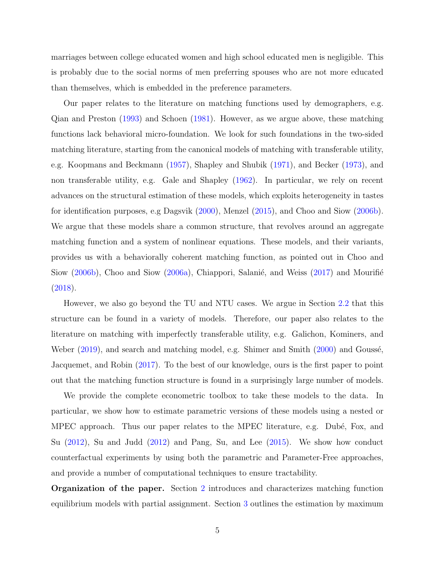marriages between college educated women and high school educated men is negligible. This is probably due to the social norms of men preferring spouses who are not more educated than themselves, which is embedded in the preference parameters.

Our paper relates to the literature on matching functions used by demographers, e.g. Qian and Preston [\(1993\)](#page-36-0) and Schoen [\(1981\)](#page-36-1). However, as we argue above, these matching functions lack behavioral micro-foundation. We look for such foundations in the two-sided matching literature, starting from the canonical models of matching with transferable utility, e.g. Koopmans and Beckmann [\(1957](#page-36-3)), Shapley and Shubik [\(1971](#page-37-2)), and Becker [\(1973](#page-34-5)), and non transferable utility, e.g. Gale and Shapley [\(1962](#page-35-5)). In particular, we rely on recent advances on the structural estimation of these models, which exploits heterogeneity in tastes for identification purposes, e.g Dagsvik [\(2000\)](#page-34-3), Menzel [\(2015](#page-36-2)), and Choo and Siow [\(2006b](#page-34-0)). We argue that these models share a common structure, that revolves around an aggregate matching function and a system of nonlinear equations. These models, and their variants, provides us with a behaviorally coherent matching function, as pointed out in Choo and Siow [\(2006b\)](#page-34-0), Choo and Siow [\(2006a](#page-34-6)), Chiappori, Salanié, and Weiss [\(2017\)](#page-34-1) and Mourifié [\(2018\)](#page-36-4).

However, we also go beyond the TU and NTU cases. We argue in Section [2.2](#page-47-0) that this structure can be found in a variety of models. Therefore, our paper also relates to the literature on matching with imperfectly transferable utility, e.g. Galichon, Kominers, and Weber  $(2019)$ , and search and matching model, e.g. Shimer and Smith  $(2000)$  and Goussé, Jacquemet, and Robin [\(2017](#page-35-6)). To the best of our knowledge, ours is the first paper to point out that the matching function structure is found in a surprisingly large number of models.

We provide the complete econometric toolbox to take these models to the data. In particular, we show how to estimate parametric versions of these models using a nested or MPEC approach. Thus our paper relates to the MPEC literature, e.g. Dubé, Fox, and Su [\(2012\)](#page-34-7), Su and Judd [\(2012\)](#page-37-3) and Pang, Su, and Lee [\(2015\)](#page-36-5). We show how conduct counterfactual experiments by using both the parametric and Parameter-Free approaches, and provide a number of computational techniques to ensure tractability.

Organization of the paper. Section [2](#page-5-0) introduces and characterizes matching function equilibrium models with partial assignment. Section [3](#page-11-0) outlines the estimation by maximum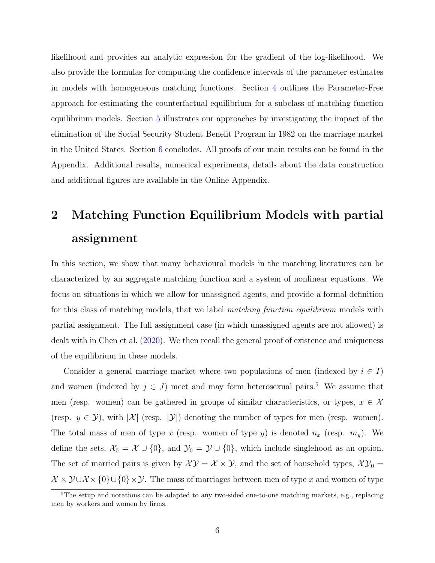likelihood and provides an analytic expression for the gradient of the log-likelihood. We also provide the formulas for computing the confidence intervals of the parameter estimates in models with homogeneous matching functions. Section [4](#page-17-0) outlines the Parameter-Free approach for estimating the counterfactual equilibrium for a subclass of matching function equilibrium models. Section [5](#page-21-0) illustrates our approaches by investigating the impact of the elimination of the Social Security Student Benefit Program in 1982 on the marriage market in the United States. Section [6](#page-33-0) concludes. All proofs of our main results can be found in the Appendix. Additional results, numerical experiments, details about the data construction and additional figures are available in the Online Appendix.

# <span id="page-5-0"></span>2 Matching Function Equilibrium Models with partial assignment

In this section, we show that many behavioural models in the matching literatures can be characterized by an aggregate matching function and a system of nonlinear equations. We focus on situations in which we allow for unassigned agents, and provide a formal definition for this class of matching models, that we label matching function equilibrium models with partial assignment. The full assignment case (in which unassigned agents are not allowed) is dealt with in Chen et al. [\(2020\)](#page-34-2). We then recall the general proof of existence and uniqueness of the equilibrium in these models.

Consider a general marriage market where two populations of men (indexed by  $i \in I$ ) and women (indexed by  $j \in J$ ) meet and may form heterosexual pairs.<sup>5</sup> We assume that men (resp. women) can be gathered in groups of similar characteristics, or types,  $x \in \mathcal{X}$ (resp.  $y \in \mathcal{Y}$ ), with  $|\mathcal{X}|$  (resp.  $|\mathcal{Y}|$ ) denoting the number of types for men (resp. women). The total mass of men of type x (resp. women of type y) is denoted  $n_x$  (resp.  $m_y$ ). We define the sets,  $\mathcal{X}_0 = \mathcal{X} \cup \{0\}$ , and  $\mathcal{Y}_0 = \mathcal{Y} \cup \{0\}$ , which include singlehood as an option. The set of married pairs is given by  $\mathcal{XY} = \mathcal{X} \times \mathcal{Y}$ , and the set of household types,  $\mathcal{XY}_0 =$  $\mathcal{X} \times \mathcal{Y} \cup \mathcal{X} \times \{0\} \cup \{0\} \times \mathcal{Y}$ . The mass of marriages between men of type x and women of type

 $5$ The setup and notations can be adapted to any two-sided one-to-one matching markets, e.g., replacing men by workers and women by firms.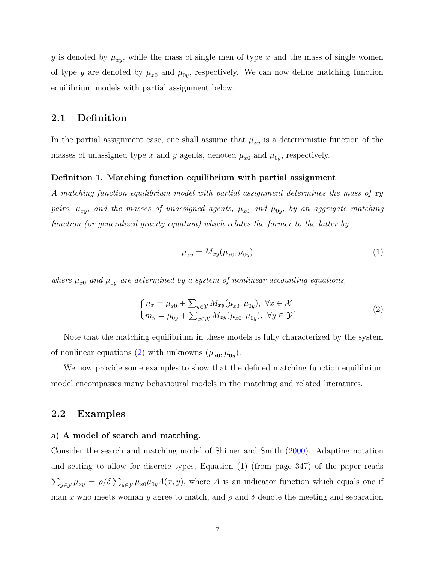y is denoted by  $\mu_{xy}$ , while the mass of single men of type x and the mass of single women of type y are denoted by  $\mu_{x0}$  and  $\mu_{0y}$ , respectively. We can now define matching function equilibrium models with partial assignment below.

# 2.1 Definition

In the partial assignment case, one shall assume that  $\mu_{xy}$  is a deterministic function of the masses of unassigned type x and y agents, denoted  $\mu_{x0}$  and  $\mu_{0y}$ , respectively.

#### <span id="page-6-1"></span>Definition 1. Matching function equilibrium with partial assignment

A matching function equilibrium model with partial assignment determines the mass of xy pairs,  $\mu_{xy}$ , and the masses of unassigned agents,  $\mu_{x0}$  and  $\mu_{0y}$ , by an aggregate matching function (or generalized gravity equation) which relates the former to the latter by

$$
\mu_{xy} = M_{xy}(\mu_{x0}, \mu_{0y})
$$
\n(1)

where  $\mu_{x0}$  and  $\mu_{0y}$  are determined by a system of nonlinear accounting equations,

<span id="page-6-0"></span>
$$
\begin{cases}\nn_x = \mu_{x0} + \sum_{y \in \mathcal{Y}} M_{xy}(\mu_{x0}, \mu_{0y}), \ \forall x \in \mathcal{X} \\
m_y = \mu_{0y} + \sum_{x \in \mathcal{X}} M_{xy}(\mu_{x0}, \mu_{0y}), \ \forall y \in \mathcal{Y}\n\end{cases} \tag{2}
$$

Note that the matching equilibrium in these models is fully characterized by the system of nonlinear equations [\(2\)](#page-6-0) with unknowns  $(\mu_{x0}, \mu_{0y})$ .

We now provide some examples to show that the defined matching function equilibrium model encompasses many behavioural models in the matching and related literatures.

## 2.2 Examples

#### a) A model of search and matching.

Consider the search and matching model of Shimer and Smith [\(2000\)](#page-37-0). Adapting notation and setting to allow for discrete types, Equation (1) (from page 347) of the paper reads  $\sum_{y\in\mathcal{Y}}\mu_{xy}=\rho/\delta\sum_{y\in\mathcal{Y}}\mu_{x0}\mu_{0y}A(x,y)$ , where A is an indicator function which equals one if man x who meets woman y agree to match, and  $\rho$  and  $\delta$  denote the meeting and separation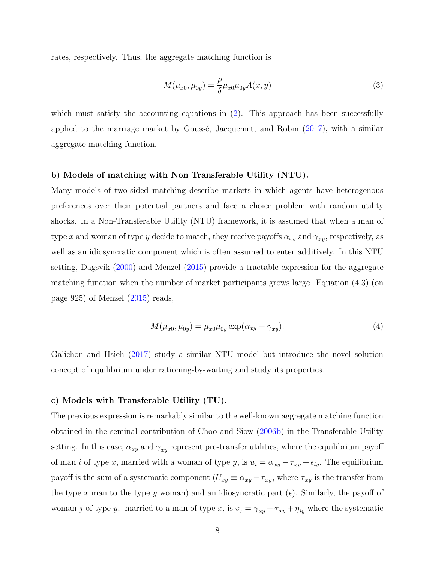rates, respectively. Thus, the aggregate matching function is

$$
M(\mu_{x0}, \mu_{0y}) = \frac{\rho}{\delta} \mu_{x0} \mu_{0y} A(x, y)
$$
\n(3)

which must satisfy the accounting equations in  $(2)$ . This approach has been successfully applied to the marriage market by Goussé, Jacquemet, and Robin  $(2017)$ , with a similar aggregate matching function.

#### b) Models of matching with Non Transferable Utility (NTU).

Many models of two-sided matching describe markets in which agents have heterogenous preferences over their potential partners and face a choice problem with random utility shocks. In a Non-Transferable Utility (NTU) framework, it is assumed that when a man of type x and woman of type y decide to match, they receive payoffs  $\alpha_{xy}$  and  $\gamma_{xy}$ , respectively, as well as an idiosyncratic component which is often assumed to enter additively. In this NTU setting, Dagsvik [\(2000\)](#page-34-3) and Menzel [\(2015\)](#page-36-2) provide a tractable expression for the aggregate matching function when the number of market participants grows large. Equation (4.3) (on page 925) of Menzel [\(2015\)](#page-36-2) reads,

$$
M(\mu_{x0}, \mu_{0y}) = \mu_{x0}\mu_{0y} \exp(\alpha_{xy} + \gamma_{xy}).
$$
\n(4)

Galichon and Hsieh [\(2017](#page-35-7)) study a similar NTU model but introduce the novel solution concept of equilibrium under rationing-by-waiting and study its properties.

#### c) Models with Transferable Utility (TU).

The previous expression is remarkably similar to the well-known aggregate matching function obtained in the seminal contribution of Choo and Siow [\(2006b\)](#page-34-0) in the Transferable Utility setting. In this case,  $\alpha_{xy}$  and  $\gamma_{xy}$  represent pre-transfer utilities, where the equilibrium payoff of man i of type x, married with a woman of type y, is  $u_i = \alpha_{xy} - \tau_{xy} + \epsilon_{iy}$ . The equilibrium payoff is the sum of a systematic component  $(U_{xy} \equiv \alpha_{xy} - \tau_{xy}$ , where  $\tau_{xy}$  is the transfer from the type x man to the type y woman) and an idiosyncratic part  $(\epsilon)$ . Similarly, the payoff of woman j of type y, married to a man of type x, is  $v_j = \gamma_{xy} + \tau_{xy} + \eta_{iy}$  where the systematic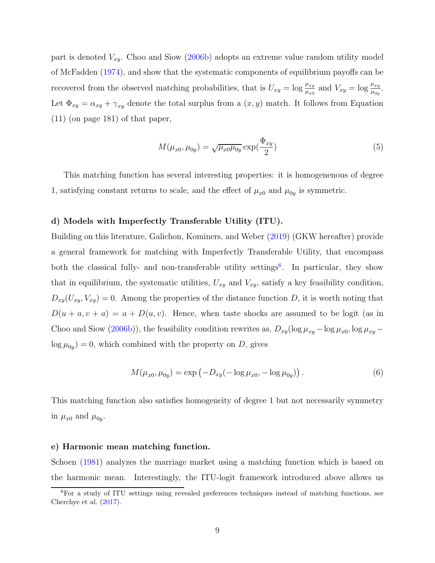part is denoted  $V_{xy}$ . Choo and Siow [\(2006b](#page-34-0)) adopts an extreme value random utility model of McFadden [\(1974\)](#page-36-6), and show that the systematic components of equilibrium payoffs can be recovered from the observed matching probabilities, that is  $U_{xy} = \log \frac{\mu_{xy}}{\mu_{x0}}$  and  $V_{xy} = \log \frac{\mu_{xy}}{\mu_{0y}}$ . Let  $\Phi_{xy} = \alpha_{xy} + \gamma_{xy}$  denote the total surplus from a  $(x, y)$  match. It follows from Equation (11) (on page 181) of that paper,

$$
M(\mu_{x0}, \mu_{0y}) = \sqrt{\mu_{x0}\mu_{0y}} \exp(\frac{\Phi_{xy}}{2})
$$
\n(5)

This matching function has several interesting properties: it is homogenenous of degree 1, satisfying constant returns to scale, and the effect of  $\mu_{x0}$  and  $\mu_{0y}$  is symmetric.

#### d) Models with Imperfectly Transferable Utility (ITU).

Building on this literature, Galichon, Kominers, and Weber [\(2019\)](#page-35-2) (GKW hereafter) provide a general framework for matching with Imperfectly Transferable Utility, that encompass both the classical fully- and non-transferable utility settings<sup>6</sup>. In particular, they show that in equilibrium, the systematic utilities,  $U_{xy}$  and  $V_{xy}$ , satisfy a key feasibility condition,  $D_{xy}(U_{xy}, V_{xy}) = 0$ . Among the properties of the distance function D, it is worth noting that  $D(u + a, v + a) = a + D(u, v)$ . Hence, when taste shocks are assumed to be logit (as in Choo and Siow [\(2006b](#page-34-0))), the feasibility condition rewrites as,  $D_{xy}(\log \mu_{xy} - \log \mu_{x0}, \log \mu_{xy} \log \mu_{0y}$  = 0, which combined with the property on D, gives

<span id="page-8-0"></span>
$$
M(\mu_{x0}, \mu_{0y}) = \exp(-D_{xy}(-\log \mu_{x0}, -\log \mu_{0y}))
$$
 (6)

This matching function also satisfies homogeneity of degree 1 but not necessarily symmetry in  $\mu_{x0}$  and  $\mu_{0y}$ .

#### e) Harmonic mean matching function.

Schoen [\(1981\)](#page-36-1) analyzes the marriage market using a matching function which is based on the harmonic mean. Interestingly, the ITU-logit framework introduced above allows us

<sup>6</sup>For a study of ITU settings using revealed preferences techniques instead of matching functions, see Cherchye et al. [\(2017\)](#page-34-8).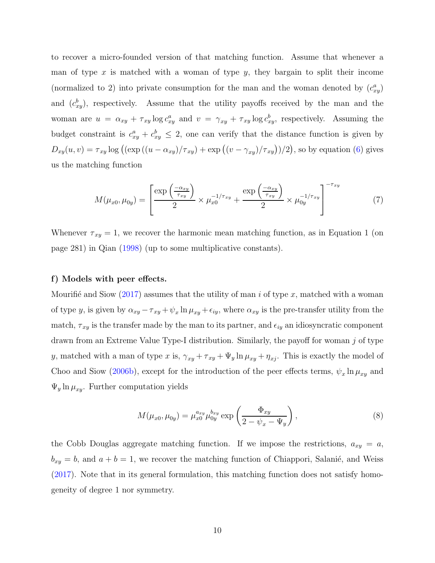to recover a micro-founded version of that matching function. Assume that whenever a man of type x is matched with a woman of type y, they bargain to split their income (normalized to 2) into private consumption for the man and the woman denoted by  $(c_{xy}^a)$ and  $(c_{xy}^b)$ , respectively. Assume that the utility payoffs received by the man and the woman are  $u = \alpha_{xy} + \tau_{xy} \log c_{xy}^a$  and  $v = \gamma_{xy} + \tau_{xy} \log c_{xy}^b$ , respectively. Assuming the budget constraint is  $c_{xy}^a + c_{xy}^b \leq 2$ , one can verify that the distance function is given by  $D_{xy}(u, v) = \tau_{xy} \log ((\exp((u - \alpha_{xy})/\tau_{xy}) + \exp((v - \gamma_{xy})/\tau_{xy}))/2),$  so by equation [\(6\)](#page-8-0) gives us the matching function

$$
M(\mu_{x0}, \mu_{0y}) = \left[ \frac{\exp\left(\frac{-\alpha_{xy}}{\tau_{xy}}\right)}{2} \times \mu_{x0}^{-1/\tau_{xy}} + \frac{\exp\left(\frac{-\alpha_{xy}}{\tau_{xy}}\right)}{2} \times \mu_{0y}^{-1/\tau_{xy}} \right]^{-\tau_{xy}} \tag{7}
$$

Whenever  $\tau_{xy} = 1$ , we recover the harmonic mean matching function, as in Equation 1 (on page 281) in Qian [\(1998\)](#page-36-7) (up to some multiplicative constants).

#### f) Models with peer effects.

Mourifie and Siow [\(2017\)](#page-36-8) assumes that the utility of man i of type x, matched with a woman of type y, is given by  $\alpha_{xy} - \tau_{xy} + \psi_x \ln \mu_{xy} + \epsilon_{iy}$ , where  $\alpha_{xy}$  is the pre-transfer utility from the match,  $\tau_{xy}$  is the transfer made by the man to its partner, and  $\epsilon_{iy}$  an idiosyncratic component drawn from an Extreme Value Type-I distribution. Similarly, the payoff for woman  $j$  of type y, matched with a man of type x is,  $\gamma_{xy} + \tau_{xy} + \Psi_y \ln \mu_{xy} + \eta_{xy}$ . This is exactly the model of Choo and Siow [\(2006b](#page-34-0)), except for the introduction of the peer effects terms,  $\psi_x \ln \mu_{xy}$  and  $\Psi_y \ln \mu_{xy}$ . Further computation yields

$$
M(\mu_{x0}, \mu_{0y}) = \mu_{x0}^{a_{xy}} \mu_{0y}^{b_{xy}} \exp\left(\frac{\Phi_{xy}}{2 - \psi_x - \Psi_y}\right),
$$
 (8)

the Cobb Douglas aggregate matching function. If we impose the restrictions,  $a_{xy} = a$ ,  $b_{xy} = b$ , and  $a + b = 1$ , we recover the matching function of Chiappori, Salanié, and Weiss [\(2017\)](#page-34-1). Note that in its general formulation, this matching function does not satisfy homogeneity of degree 1 nor symmetry.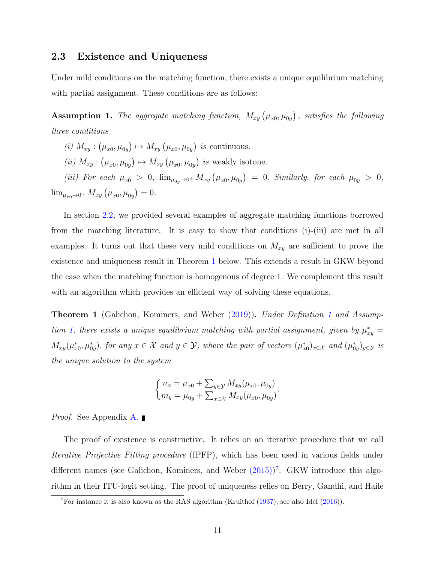## 2.3 Existence and Uniqueness

Under mild conditions on the matching function, there exists a unique equilibrium matching with partial assignment. These conditions are as follows:

<span id="page-10-1"></span>**Assumption 1.** The aggregate matching function,  $M_{xy}(\mu_{x0}, \mu_{0y})$ , satisfies the following three conditions

(i)  $M_{xy} : (\mu_{x0}, \mu_{0y}) \mapsto M_{xy} (\mu_{x0}, \mu_{0y})$  is continuous.

(ii)  $M_{xy}$ :  $(\mu_{x0}, \mu_{0y}) \mapsto M_{xy} (\mu_{x0}, \mu_{0y})$  is weakly isotone.

(iii) For each  $\mu_{x0} > 0$ ,  $\lim_{\mu_{0y} \to 0^+} M_{xy}(\mu_{x0}, \mu_{0y}) = 0$ . Similarly, for each  $\mu_{0y} > 0$ ,  $\lim_{\mu_{x0}\to 0^+} M_{xy} (\mu_{x0}, \mu_{0y}) = 0.$ 

In section [2.2,](#page-47-0) we provided several examples of aggregate matching functions borrowed from the matching literature. It is easy to show that conditions (i)-(iii) are met in all examples. It turns out that these very mild conditions on  $M_{xy}$  are sufficient to prove the existence and uniqueness result in Theorem [1](#page-10-0) below. This extends a result in GKW beyond the case when the matching function is homogenous of degree 1. We complement this result with an algorithm which provides an efficient way of solving these equations.

<span id="page-10-0"></span>**Theorem [1](#page-6-1)** (Galichon, Kominers, and Weber [\(2019\)](#page-35-2)). Under Definition 1 and Assump-tion [1,](#page-10-1) there exists a unique equilibrium matching with partial assignment, given by  $\mu_{xy}^* =$  $M_{xy}(\mu_{x0}^*, \mu_{0y}^*),$  for any  $x \in \mathcal{X}$  and  $y \in \mathcal{Y}$ , where the pair of vectors  $(\mu_{x0}^*)_{x \in \mathcal{X}}$  and  $(\mu_{0y}^*)_{y \in \mathcal{Y}}$  is the unique solution to the system

$$
\begin{cases}\nn_x = \mu_{x0} + \sum_{y \in \mathcal{Y}} M_{xy}(\mu_{x0}, \mu_{0y}) \\
m_y = \mu_{0y} + \sum_{x \in \mathcal{X}} M_{xy}(\mu_{x0}, \mu_{0y})\n\end{cases}.
$$

*Proof.* See Appendix **A**. ■

The proof of existence is constructive. It relies on an iterative procedure that we call Iterative Projective Fitting procedure (IPFP), which has been used in various fields under different names (see Galichon, Kominers, and Weber  $(2015)$ )<sup>7</sup>. GKW introduce this algorithm in their ITU-logit setting. The proof of uniqueness relies on Berry, Gandhi, and Haile

<sup>&</sup>lt;sup>7</sup>For instance it is also known as the RAS algorithm (Kruithof  $(1937)$ ; see also Idel  $(2016)$ ).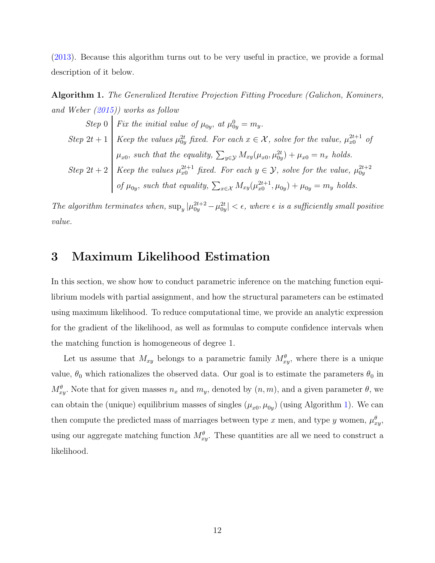[\(2013\)](#page-34-9). Because this algorithm turns out to be very useful in practice, we provide a formal description of it below.

<span id="page-11-1"></span>Algorithm 1. The Generalized Iterative Projection Fitting Procedure (Galichon, Kominers, and Weber [\(2015\)](#page-35-8)) works as follow

Step 0 Fix the initial value of 
$$
\mu_{0y}
$$
, at  $\mu_{0y}^0 = m_y$ .  
\nStep 2t + 1 Keep the values  $\mu_{0y}^{2t}$  fixed. For each  $x \in \mathcal{X}$ , solve for the value,  $\mu_{x0}^{2t+1}$  of  $\mu_{x0}$ , such that the equality,  $\sum_{y \in \mathcal{Y}} M_{xy}(\mu_{x0}, \mu_{0y}^{2t}) + \mu_{x0} = n_x$  holds.  
\nStep 2t + 2 Keep the values  $\mu_{x0}^{2t+1}$  fixed. For each  $y \in \mathcal{Y}$ , solve for the value,  $\mu_{0y}^{2t+2}$  of  $\mu_{0y}$ , such that equality,  $\sum_{x \in \mathcal{X}} M_{xy}(\mu_{x0}^{2t+1}, \mu_{0y}) + \mu_{0y} = m_y$  holds.

<span id="page-11-0"></span>The algorithm terminates when,  $\sup_y |\mu_{0y}^{2t+2} - \mu_{0y}^{2t}| < \epsilon$ , where  $\epsilon$  is a sufficiently small positive value.

# 3 Maximum Likelihood Estimation

In this section, we show how to conduct parametric inference on the matching function equilibrium models with partial assignment, and how the structural parameters can be estimated using maximum likelihood. To reduce computational time, we provide an analytic expression for the gradient of the likelihood, as well as formulas to compute confidence intervals when the matching function is homogeneous of degree 1.

Let us assume that  $M_{xy}$  belongs to a parametric family  $M_{xy}^{\theta}$ , where there is a unique value,  $\theta_0$  which rationalizes the observed data. Our goal is to estimate the parameters  $\theta_0$  in  $M_{xy}^{\theta}$ . Note that for given masses  $n_x$  and  $m_y$ , denoted by  $(n, m)$ , and a given parameter  $\theta$ , we can obtain the (unique) equilibrium masses of singles  $(\mu_{x0}, \mu_{0y})$  (using Algorithm [1\)](#page-11-1). We can then compute the predicted mass of marriages between type x men, and type y women,  $\mu_{xy}^{\theta}$ , using our aggregate matching function  $M_{xy}^{\theta}$ . These quantities are all we need to construct a likelihood.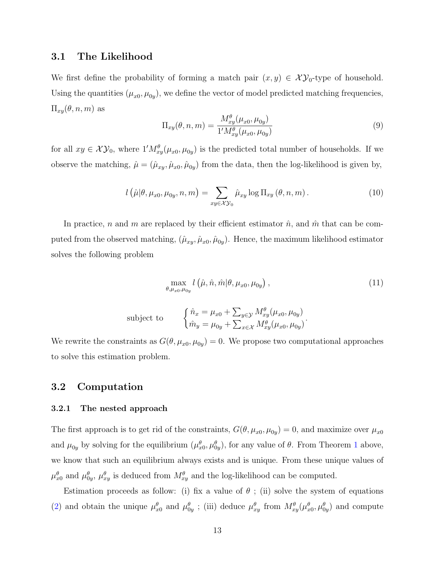## 3.1 The Likelihood

We first define the probability of forming a match pair  $(x, y) \in \mathcal{XY}_0$ -type of household. Using the quantities  $(\mu_{x0}, \mu_{0y})$ , we define the vector of model predicted matching frequencies,  $\Pi_{xy}(\theta, n, m)$  as

<span id="page-12-0"></span>
$$
\Pi_{xy}(\theta, n, m) = \frac{M_{xy}^{\theta}(\mu_{x0}, \mu_{0y})}{1'M_{xy}^{\theta}(\mu_{x0}, \mu_{0y})}
$$
(9)

for all  $xy \in \mathcal{XY}_0$ , where  $1'M_{xy}^{\theta}(\mu_{x0}, \mu_{0y})$  is the predicted total number of households. If we observe the matching,  $\hat{\mu} = (\hat{\mu}_{xy}, \hat{\mu}_{x0}, \hat{\mu}_{0y})$  from the data, then the log-likelihood is given by,

<span id="page-12-1"></span>
$$
l\left(\hat{\mu}|\theta,\mu_{x0},\mu_{0y},n,m\right) = \sum_{xy \in \mathcal{XY}_0} \hat{\mu}_{xy} \log \Pi_{xy} \left(\theta,n,m\right). \tag{10}
$$

In practice, n and m are replaced by their efficient estimator  $\hat{n}$ , and  $\hat{m}$  that can be computed from the observed matching,  $(\hat{\mu}_{xy}, \hat{\mu}_{x0}, \hat{\mu}_{0y})$ . Hence, the maximum likelihood estimator solves the following problem

<span id="page-12-2"></span>
$$
\max_{\theta,\mu_{x0},\mu_{0y}} l\left(\hat{\mu},\hat{n},\hat{m}|\theta,\mu_{x0},\mu_{0y}\right),\tag{11}
$$

subject to 
$$
\begin{cases} \hat{n}_x = \mu_{x0} + \sum_{y \in \mathcal{Y}} M_{xy}^{\theta}(\mu_{x0}, \mu_{0y}) \\ \hat{m}_y = \mu_{0y} + \sum_{x \in \mathcal{X}} M_{xy}^{\theta}(\mu_{x0}, \mu_{0y}). \end{cases}
$$

We rewrite the constraints as  $G(\theta, \mu_{x0}, \mu_{0y}) = 0$ . We propose two computational approaches to solve this estimation problem.

## 3.2 Computation

#### 3.2.1 The nested approach

The first approach is to get rid of the constraints,  $G(\theta, \mu_{x0}, \mu_{0y}) = 0$ , and maximize over  $\mu_{x0}$ and  $\mu_{0y}$  by solving for the equilibrium  $(\mu_{x0}^{\theta}, \mu_{0y}^{\theta})$ , for any value of  $\theta$ . From Theorem [1](#page-10-0) above, we know that such an equilibrium always exists and is unique. From these unique values of  $\mu_{x0}^{\theta}$  and  $\mu_{0y}^{\theta}$ ,  $\mu_{xy}^{\theta}$  is deduced from  $M_{xy}^{\theta}$  and the log-likelihood can be computed.

Estimation proceeds as follow: (i) fix a value of  $\theta$ ; (ii) solve the system of equations [\(2\)](#page-6-0) and obtain the unique  $\mu_{x0}^{\theta}$  and  $\mu_{0y}^{\theta}$ ; (iii) deduce  $\mu_{xy}^{\theta}$  from  $M_{xy}^{\theta}(\mu_{x0}^{\theta}, \mu_{0y}^{\theta})$  and compute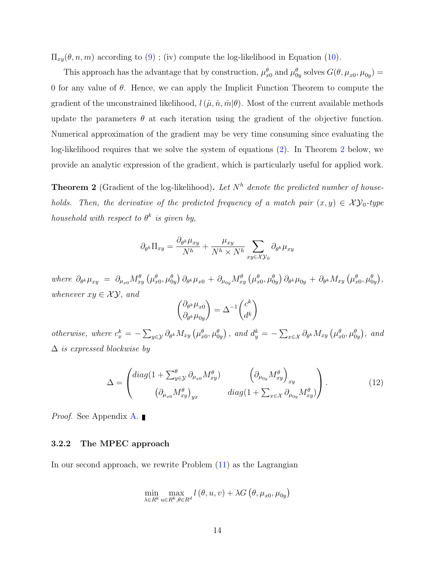$\Pi_{xy}(\theta, n, m)$  according to  $(9)$ ; (iv) compute the log-likelihood in Equation [\(10\)](#page-12-1).

This approach has the advantage that by construction,  $\mu_{x0}^{\theta}$  and  $\mu_{0y}^{\theta}$  solves  $G(\theta, \mu_{x0}, \mu_{0y}) =$ 0 for any value of  $\theta$ . Hence, we can apply the Implicit Function Theorem to compute the gradient of the unconstrained likelihood,  $l(\hat{\mu}, \hat{n}, \hat{m}|\theta)$ . Most of the current available methods update the parameters  $\theta$  at each iteration using the gradient of the objective function. Numerical approximation of the gradient may be very time consuming since evaluating the log-likelihood requires that we solve the system of equations [\(2\)](#page-6-0). In Theorem [2](#page-13-0) below, we provide an analytic expression of the gradient, which is particularly useful for applied work.

<span id="page-13-0"></span>**Theorem 2** (Gradient of the log-likelihood). Let  $N<sup>h</sup>$  denote the predicted number of households. Then, the derivative of the predicted frequency of a match pair  $(x, y) \in \mathcal{XY}_0$ -type household with respect to  $\theta^k$  is given by,

$$
\partial_{\theta^k} \Pi_{xy} = \frac{\partial_{\theta^k} \mu_{xy}}{N^h} + \frac{\mu_{xy}}{N^h \times N^h} \sum_{xy \in \mathcal{XY}_0} \partial_{\theta^k} \mu_{xy}
$$

where  $\partial_{\theta^k} \mu_{xy} = \partial_{\mu_{x0}} M_{xy}^{\theta} \left( \mu_{x0}^{\theta}, \mu_{0y}^{\theta} \right) \partial_{\theta^k} \mu_{x0} + \partial_{\mu_{0y}} M_{xy}^{\theta} \left( \mu_{x0}^{\theta}, \mu_{0y}^{\theta} \right) \partial_{\theta^k} \mu_{0y} + \partial_{\theta^k} M_{xy} \left( \mu_{x0}^{\theta}, \mu_{0y}^{\theta} \right)$ whenever  $xy \in \mathcal{XY}$ , and

$$
\begin{pmatrix} \partial_{\theta^k} \mu_{x0} \\ \partial_{\theta^k} \mu_{0y} \end{pmatrix} = \Delta^{-1} \begin{pmatrix} c^k \\ d^k \end{pmatrix}
$$

otherwise, where  $c_x^k = -\sum_{y \in \mathcal{Y}} \partial_{\theta^k} M_{xy} (\mu_{x0}^{\theta}, \mu_{0y}^{\theta})$ , and  $d_y^k = -\sum_{x \in \mathcal{X}} \partial_{\theta^k} M_{xy} (\mu_{x0}^{\theta}, \mu_{0y}^{\theta})$ , and  $\Delta$  is expressed blockwise by

<span id="page-13-1"></span>
$$
\Delta = \begin{pmatrix} diag(1 + \sum_{y \in \mathcal{Y}}^{\theta} \partial_{\mu_{x0}} M_{xy}^{\theta}) & \left( \partial_{\mu_{0y}} M_{xy}^{\theta} \right)_{xy} \\ \left( \partial_{\mu_{x0}} M_{xy}^{\theta} \right)_{yx} & diag(1 + \sum_{x \in \mathcal{X}} \partial_{\mu_{0y}} M_{xy}^{\theta}) \end{pmatrix} . \tag{12}
$$

*Proof.* See Appendix [A.](#page-37-4)

### 3.2.2 The MPEC approach

In our second approach, we rewrite Problem [\(11\)](#page-12-2) as the Lagrangian

$$
\min_{\lambda \in R^k} \max_{u \in R^k, \theta \in R^d} l(\theta, u, v) + \lambda G(\theta, \mu_{x0}, \mu_{0y})
$$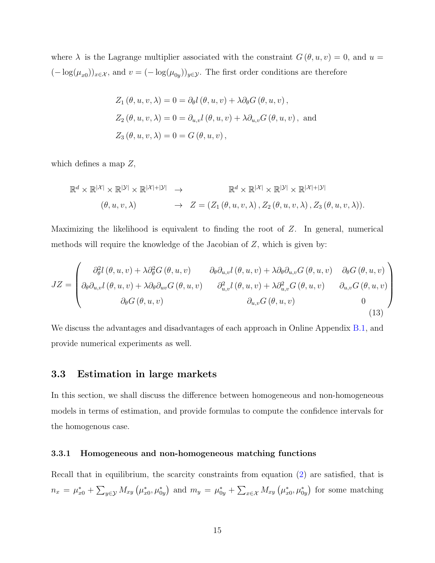where  $\lambda$  is the Lagrange multiplier associated with the constraint  $G(\theta, u, v) = 0$ , and  $u =$  $(-\log(\mu_{x0}))_{x\in\mathcal{X}}$ , and  $v=(-\log(\mu_{0y}))_{y\in\mathcal{Y}}$ . The first order conditions are therefore

$$
Z_1(\theta, u, v, \lambda) = 0 = \partial_{\theta} l(\theta, u, v) + \lambda \partial_{\theta} G(\theta, u, v),
$$
  
\n
$$
Z_2(\theta, u, v, \lambda) = 0 = \partial_{u,v} l(\theta, u, v) + \lambda \partial_{u,v} G(\theta, u, v),
$$
 and  
\n
$$
Z_3(\theta, u, v, \lambda) = 0 = G(\theta, u, v),
$$

which defines a map  $Z$ ,

$$
\mathbb{R}^{d} \times \mathbb{R}^{|\mathcal{X}|} \times \mathbb{R}^{|\mathcal{Y}|} \times \mathbb{R}^{|\mathcal{X}|+|\mathcal{Y}|} \rightarrow \mathbb{R}^{d} \times \mathbb{R}^{|\mathcal{X}|} \times \mathbb{R}^{|\mathcal{Y}|} \times \mathbb{R}^{|\mathcal{X}|+|\mathcal{Y}|}
$$
  

$$
(\theta, u, v, \lambda) \rightarrow Z = (Z_1 (\theta, u, v, \lambda), Z_2 (\theta, u, v, \lambda), Z_3 (\theta, u, v, \lambda)).
$$

Maximizing the likelihood is equivalent to finding the root of Z. In general, numerical methods will require the knowledge of the Jacobian of  $Z$ , which is given by:

<span id="page-14-0"></span>
$$
JZ = \begin{pmatrix} \partial_{\theta}^{2}l(\theta, u, v) + \lambda \partial_{\theta}^{2}G(\theta, u, v) & \partial_{\theta}\partial_{u,v}l(\theta, u, v) + \lambda \partial_{\theta}\partial_{u,v}G(\theta, u, v) & \partial_{\theta}G(\theta, u, v) \\ \partial_{\theta}\partial_{u,v}l(\theta, u, v) + \lambda \partial_{\theta}\partial_{uv}G(\theta, u, v) & \partial_{u,v}^{2}l(\theta, u, v) + \lambda \partial_{u,v}^{2}G(\theta, u, v) & \partial_{u,v}G(\theta, u, v) \\ \partial_{\theta}G(\theta, u, v) & \partial_{u,v}G(\theta, u, v) & 0 \end{pmatrix}
$$
(13)

We discuss the advantages and disadvantages of each approach in Online Appendix [B.1,](#page-44-0) and provide numerical experiments as well.

## 3.3 Estimation in large markets

In this section, we shall discuss the difference between homogeneous and non-homogeneous models in terms of estimation, and provide formulas to compute the confidence intervals for the homogenous case.

#### 3.3.1 Homogeneous and non-homogeneous matching functions

Recall that in equilibrium, the scarcity constraints from equation [\(2\)](#page-6-0) are satisfied, that is  $n_x = \mu_{x0}^* + \sum_{y \in \mathcal{Y}} M_{xy} (\mu_{x0}^*, \mu_{0y}^*)$  and  $m_y = \mu_{0y}^* + \sum_{x \in \mathcal{X}} M_{xy} (\mu_{x0}^*, \mu_{0y}^*)$  for some matching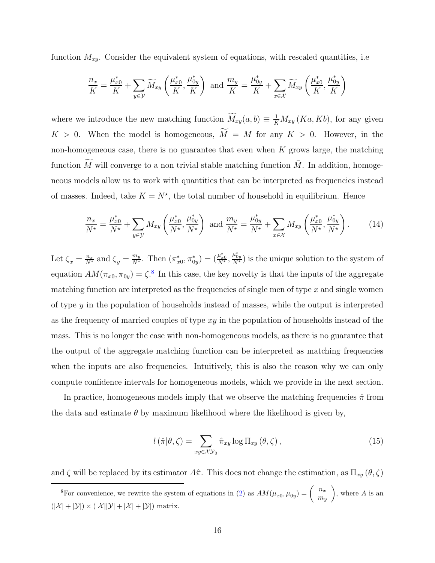function  $M_{xy}$ . Consider the equivalent system of equations, with rescaled quantities, i.e.

$$
\frac{n_x}{K} = \frac{\mu_{x0}^*}{K} + \sum_{y \in \mathcal{Y}} \widetilde{M}_{xy} \left( \frac{\mu_{x0}^*}{K}, \frac{\mu_{0y}^*}{K} \right) \text{ and } \frac{m_y}{K} = \frac{\mu_{0y}^*}{K} + \sum_{x \in \mathcal{X}} \widetilde{M}_{xy} \left( \frac{\mu_{x0}^*}{K}, \frac{\mu_{0y}^*}{K} \right)
$$

where we introduce the new matching function  $\overline{M}_{xy}(a, b) \equiv \frac{1}{K} M_{xy}(Ka, Kb)$ , for any given  $K > 0$ . When the model is homogeneous,  $\widetilde{M} = M$  for any  $K > 0$ . However, in the non-homogeneous case, there is no guarantee that even when  $K$  grows large, the matching function M will converge to a non trivial stable matching function  $\overline{M}$ . In addition, homogeneous models allow us to work with quantities that can be interpreted as frequencies instead of masses. Indeed, take  $K = N^*$ , the total number of household in equilibrium. Hence

$$
\frac{n_x}{N^{\star}} = \frac{\mu_{x0}^{\star}}{N^{\star}} + \sum_{y \in \mathcal{Y}} M_{xy} \left( \frac{\mu_{x0}^{\star}}{N^{\star}}, \frac{\mu_{0y}^{\star}}{N^{\star}} \right) \text{ and } \frac{m_y}{N^{\star}} = \frac{\mu_{0y}^{\star}}{N^{\star}} + \sum_{x \in \mathcal{X}} M_{xy} \left( \frac{\mu_{x0}^{\star}}{N^{\star}}, \frac{\mu_{0y}^{\star}}{N^{\star}} \right). \tag{14}
$$

Let  $\zeta_x = \frac{n_x}{N^*}$  and  $\zeta_y = \frac{m_y}{N^*}$ . Then  $(\pi_{x0}^*, \pi_{0y}^*) = (\frac{\mu_{x0}^*}{N^*}, \frac{\mu_{0y}^*}{N^*})$  is the unique solution to the system of equation  $AM(\pi_{x0}, \pi_{0y}) = \zeta$ <sup>8</sup>. In this case, the key novelty is that the inputs of the aggregate matching function are interpreted as the frequencies of single men of type  $x$  and single women of type  $y$  in the population of households instead of masses, while the output is interpreted as the frequency of married couples of type  $xy$  in the population of households instead of the mass. This is no longer the case with non-homogeneous models, as there is no guarantee that the output of the aggregate matching function can be interpreted as matching frequencies when the inputs are also frequencies. Intuitively, this is also the reason why we can only compute confidence intervals for homogeneous models, which we provide in the next section.

In practice, homogeneous models imply that we observe the matching frequencies  $\hat{\pi}$  from the data and estimate  $\theta$  by maximum likelihood where the likelihood is given by,

$$
l\left(\hat{\pi}|\theta,\zeta\right) = \sum_{xy \in \mathcal{XY}_0} \hat{\pi}_{xy} \log \Pi_{xy} \left(\theta,\zeta\right),\tag{15}
$$

and  $\zeta$  will be replaced by its estimator  $A\hat{\pi}$ . This does not change the estimation, as  $\Pi_{xy}(\theta,\zeta)$ 

<sup>&</sup>lt;sup>8</sup>For convenience, we rewrite the system of equations in [\(2\)](#page-6-0) as  $AM(\mu_{x0}, \mu_{0y}) = \begin{pmatrix} n_x \\ m_y \end{pmatrix}$  $m_y$  $\overline{ }$ , where A is an  $(|\mathcal{X}|+|\mathcal{Y}|)\times(|\mathcal{X}||\mathcal{Y}|+|\mathcal{X}|+|\mathcal{Y}|)$  matrix.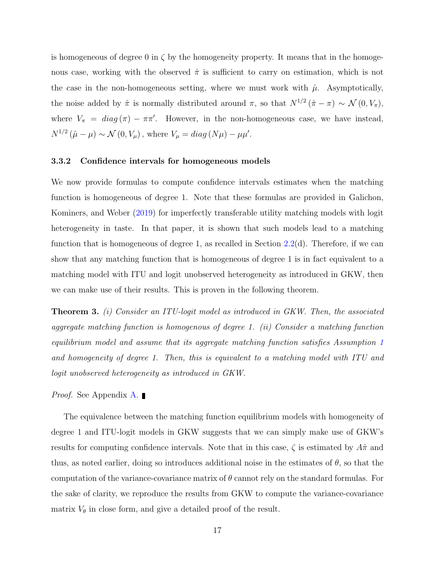is homogeneous of degree 0 in  $\zeta$  by the homogeneity property. It means that in the homogenous case, working with the observed  $\hat{\pi}$  is sufficient to carry on estimation, which is not the case in the non-homogeneous setting, where we must work with  $\hat{\mu}$ . Asymptotically, the noise added by  $\hat{\pi}$  is normally distributed around  $\pi$ , so that  $N^{1/2}(\hat{\pi}-\pi) \sim \mathcal{N}(0, V_{\pi}),$ where  $V_{\pi} = diag(\pi) - \pi \pi'$ . However, in the non-homogeneous case, we have instead,  $N^{1/2} (\hat{\mu} - \mu) \sim \mathcal{N}(0, V_{\mu})$ , where  $V_{\mu} = diag (N \mu) - \mu \mu'$ .

#### 3.3.2 Confidence intervals for homogeneous models

We now provide formulas to compute confidence intervals estimates when the matching function is homogeneous of degree 1. Note that these formulas are provided in Galichon, Kominers, and Weber [\(2019\)](#page-35-2) for imperfectly transferable utility matching models with logit heterogeneity in taste. In that paper, it is shown that such models lead to a matching function that is homogeneous of degree 1, as recalled in Section [2.2\(](#page-47-0)d). Therefore, if we can show that any matching function that is homogeneous of degree 1 is in fact equivalent to a matching model with ITU and logit unobserved heterogeneity as introduced in GKW, then we can make use of their results. This is proven in the following theorem.

<span id="page-16-0"></span>**Theorem 3.** (i) Consider an ITU-logit model as introduced in GKW. Then, the associated aggregate matching function is homogenous of degree 1. (ii) Consider a matching function equilibrium model and assume that its aggregate matching function satisfies Assumption [1](#page-10-1) and homogeneity of degree 1. Then, this is equivalent to a matching model with ITU and logit unobserved heterogeneity as introduced in GKW.

*Proof.* See Appendix [A.](#page-37-4)

The equivalence between the matching function equilibrium models with homogeneity of degree 1 and ITU-logit models in GKW suggests that we can simply make use of GKW's results for computing confidence intervals. Note that in this case,  $\zeta$  is estimated by  $A\hat{\pi}$  and thus, as noted earlier, doing so introduces additional noise in the estimates of  $\theta$ , so that the computation of the variance-covariance matrix of  $\theta$  cannot rely on the standard formulas. For the sake of clarity, we reproduce the results from GKW to compute the variance-covariance matrix  $V_{\theta}$  in close form, and give a detailed proof of the result.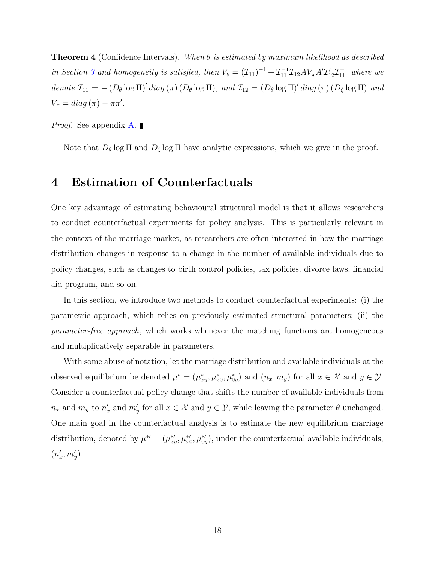<span id="page-17-1"></span>**Theorem 4** (Confidence Intervals). When  $\theta$  is estimated by maximum likelihood as described in Section [3](#page-11-0) and homogeneity is satisfied, then  $V_{\theta} = (\mathcal{I}_{11})^{-1} + \mathcal{I}_{11}^{-1} \mathcal{I}_{12}AV_{\pi}A'\mathcal{I}_{12}'\mathcal{I}_{11}^{-1}$  where we denote  $\mathcal{I}_{11} = - (D_{\theta} \log \Pi)' diag (\pi) (D_{\theta} \log \Pi)$ , and  $\mathcal{I}_{12} = (D_{\theta} \log \Pi)' diag (\pi) (D_{\zeta} \log \Pi)$  and  $V_{\pi} = diag(\pi) - \pi \pi'.$ 

*Proof.* See appendix  $A$ .

<span id="page-17-0"></span>Note that  $D_{\theta}$  log  $\Pi$  and  $D_{\zeta}$  log  $\Pi$  have analytic expressions, which we give in the proof.

# 4 Estimation of Counterfactuals

One key advantage of estimating behavioural structural model is that it allows researchers to conduct counterfactual experiments for policy analysis. This is particularly relevant in the context of the marriage market, as researchers are often interested in how the marriage distribution changes in response to a change in the number of available individuals due to policy changes, such as changes to birth control policies, tax policies, divorce laws, financial aid program, and so on.

In this section, we introduce two methods to conduct counterfactual experiments: (i) the parametric approach, which relies on previously estimated structural parameters; (ii) the parameter-free approach, which works whenever the matching functions are homogeneous and multiplicatively separable in parameters.

With some abuse of notation, let the marriage distribution and available individuals at the observed equilibrium be denoted  $\mu^* = (\mu^*_{xy}, \mu^*_{x0}, \mu^*_{0y})$  and  $(n_x, m_y)$  for all  $x \in \mathcal{X}$  and  $y \in \mathcal{Y}$ . Consider a counterfactual policy change that shifts the number of available individuals from  $n_x$  and  $m_y$  to  $n'_x$  and  $m'_y$  for all  $x \in \mathcal{X}$  and  $y \in \mathcal{Y}$ , while leaving the parameter  $\theta$  unchanged. One main goal in the counterfactual analysis is to estimate the new equilibrium marriage distribution, denoted by  $\mu^{*'} = (\mu^{*'}_{xy}, \mu^{*'}_{x0}, \mu^{*'}_{0y})$ , under the counterfactual available individuals,  $(n'_x, m'_y).$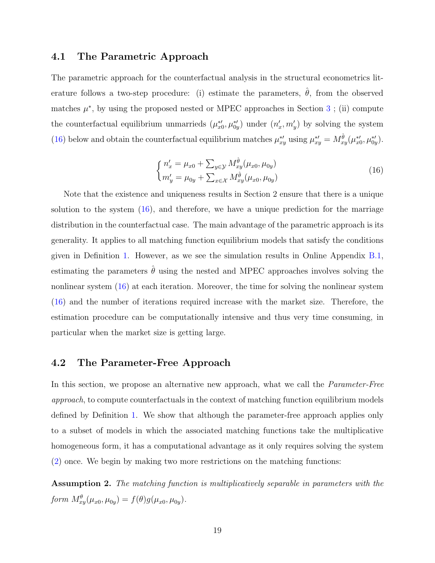# 4.1 The Parametric Approach

The parametric approach for the counterfactual analysis in the structural econometrics literature follows a two-step procedure: (i) estimate the parameters,  $\hat{\theta}$ , from the observed matches  $\mu^*$ , by using the proposed nested or MPEC approaches in Section [3](#page-11-0); (ii) compute the counterfactual equilibrium unmarrieds  $(\mu_{x0}^*, \mu_{0y}^*)$  under  $(n'_x, m'_y)$  by solving the system [\(16\)](#page-18-0) below and obtain the counterfactual equilibrium matches  $\mu_{xy}^{*\prime}$  using  $\mu_{xy}^{*\prime} = M_{xy}^{\hat{\theta}}(\mu_{x0}^{*\prime}, \mu_{0y}^{*\prime})$ .

<span id="page-18-0"></span>
$$
\begin{cases}\nn_x' = \mu_{x0} + \sum_{y \in \mathcal{Y}} M_{xy}^{\hat{\theta}}(\mu_{x0}, \mu_{0y}) \\
m_y' = \mu_{0y} + \sum_{x \in \mathcal{X}} M_{xy}^{\hat{\theta}}(\mu_{x0}, \mu_{0y})\n\end{cases} \tag{16}
$$

Note that the existence and uniqueness results in Section 2 ensure that there is a unique solution to the system [\(16\)](#page-18-0), and therefore, we have a unique prediction for the marriage distribution in the counterfactual case. The main advantage of the parametric approach is its generality. It applies to all matching function equilibrium models that satisfy the conditions given in Definition [1.](#page-6-1) However, as we see the simulation results in Online Appendix  $B.1$ , estimating the parameters  $\hat{\theta}$  using the nested and MPEC approaches involves solving the nonlinear system [\(16\)](#page-18-0) at each iteration. Moreover, the time for solving the nonlinear system [\(16\)](#page-18-0) and the number of iterations required increase with the market size. Therefore, the estimation procedure can be computationally intensive and thus very time consuming, in particular when the market size is getting large.

# <span id="page-18-2"></span>4.2 The Parameter-Free Approach

In this section, we propose an alternative new approach, what we call the *Parameter-Free* approach, to compute counterfactuals in the context of matching function equilibrium models defined by Definition [1.](#page-6-1) We show that although the parameter-free approach applies only to a subset of models in which the associated matching functions take the multiplicative homogeneous form, it has a computational advantage as it only requires solving the system [\(2\)](#page-6-0) once. We begin by making two more restrictions on the matching functions:

<span id="page-18-1"></span>Assumption 2. The matching function is multiplicatively separable in parameters with the form  $M_{xy}^{\theta}(\mu_{x0}, \mu_{0y}) = f(\theta)g(\mu_{x0}, \mu_{0y}).$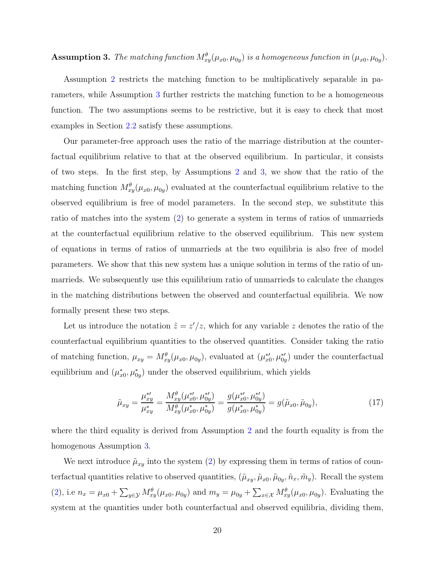<span id="page-19-0"></span>**Assumption 3.** The matching function  $M_{xy}^{\theta}(\mu_{x0}, \mu_{0y})$  is a homogeneous function in  $(\mu_{x0}, \mu_{0y})$ .

Assumption [2](#page-18-1) restricts the matching function to be multiplicatively separable in parameters, while Assumption [3](#page-19-0) further restricts the matching function to be a homogeneous function. The two assumptions seems to be restrictive, but it is easy to check that most examples in Section [2.2](#page-47-0) satisfy these assumptions.

Our parameter-free approach uses the ratio of the marriage distribution at the counterfactual equilibrium relative to that at the observed equilibrium. In particular, it consists of two steps. In the first step, by Assumptions [2](#page-18-1) and [3,](#page-19-0) we show that the ratio of the matching function  $M_{xy}^{\theta}(\mu_{x0}, \mu_{0y})$  evaluated at the counterfactual equilibrium relative to the observed equilibrium is free of model parameters. In the second step, we substitute this ratio of matches into the system [\(2\)](#page-6-0) to generate a system in terms of ratios of unmarrieds at the counterfactual equilibrium relative to the observed equilibrium. This new system of equations in terms of ratios of unmarrieds at the two equilibria is also free of model parameters. We show that this new system has a unique solution in terms of the ratio of unmarrieds. We subsequently use this equilibrium ratio of unmarrieds to calculate the changes in the matching distributions between the observed and counterfactual equilibria. We now formally present these two steps.

Let us introduce the notation  $\tilde{z} = z'/z$ , which for any variable z denotes the ratio of the counterfactual equilibrium quantities to the observed quantities. Consider taking the ratio of matching function,  $\mu_{xy} = M_{xy}^{\theta}(\mu_{x0}, \mu_{0y})$ , evaluated at  $(\mu_{x0}^{*\prime}, \mu_{0y}^{*\prime})$  under the counterfactual equilibrium and  $(\mu_{x0}^*, \mu_{0y}^*)$  under the observed equilibrium, which yields

<span id="page-19-1"></span>
$$
\tilde{\mu}_{xy} = \frac{\mu_{xy}^{*}}{\mu_{xy}^{*}} = \frac{M_{xy}^{\theta}(\mu_{x0}^{*}, \mu_{0y}^{*})}{M_{xy}^{\theta}(\mu_{x0}^{*}, \mu_{0y}^{*})} = \frac{g(\mu_{x0}^{*}, \mu_{0y}^{*})}{g(\mu_{x0}^{*}, \mu_{0y}^{*})} = g(\tilde{\mu}_{x0}, \tilde{\mu}_{0y}),
$$
\n(17)

where the third equality is derived from Assumption [2](#page-18-1) and the fourth equality is from the homogenous Assumption [3.](#page-19-0)

We next introduce  $\tilde{\mu}_{xy}$  into the system [\(2\)](#page-6-0) by expressing them in terms of ratios of counterfactual quantities relative to observed quantities,  $(\tilde{\mu}_{xy}, \tilde{\mu}_{x0}, \tilde{\mu}_{0y}, \tilde{n}_x, \tilde{m}_y)$ . Recall the system [\(2\)](#page-6-0), i.e  $n_x = \mu_{x0} + \sum_{y \in \mathcal{Y}} M_{xy}^{\theta}(\mu_{x0}, \mu_{0y})$  and  $m_y = \mu_{0y} + \sum_{x \in \mathcal{X}} M_{xy}^{\theta}(\mu_{x0}, \mu_{0y})$ . Evaluating the system at the quantities under both counterfactual and observed equilibria, dividing them,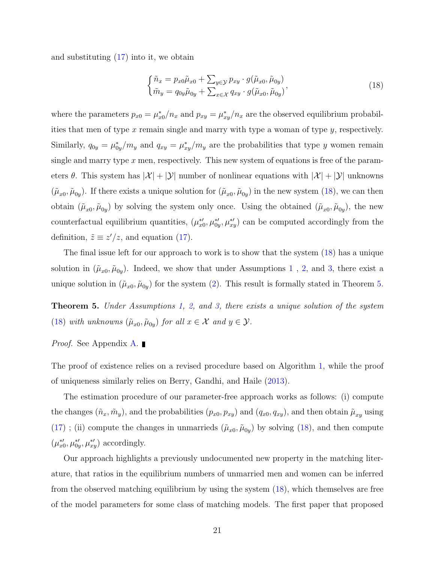and substituting [\(17\)](#page-19-1) into it, we obtain

<span id="page-20-0"></span>
$$
\begin{cases}\n\tilde{n}_x = p_{x0}\tilde{\mu}_{x0} + \sum_{y \in \mathcal{Y}} p_{xy} \cdot g(\tilde{\mu}_{x0}, \tilde{\mu}_{0y}) \\
\tilde{m}_y = q_{0y}\tilde{\mu}_{0y} + \sum_{x \in \mathcal{X}} q_{xy} \cdot g(\tilde{\mu}_{x0}, \tilde{\mu}_{0y})\n\end{cases}
$$
\n(18)

where the parameters  $p_{x0} = \mu_{x0}^*/n_x$  and  $p_{xy} = \mu_{xy}^*/n_x$  are the observed equilibrium probabilities that men of type  $x$  remain single and marry with type a woman of type  $y$ , respectively. Similarly,  $q_{0y} = \mu_{0y}^*/m_y$  and  $q_{xy} = \mu_{xy}^*/m_y$  are the probabilities that type y women remain single and marry type  $x$  men, respectively. This new system of equations is free of the parameters  $\theta$ . This system has  $|\mathcal{X}| + |\mathcal{Y}|$  number of nonlinear equations with  $|\mathcal{X}| + |\mathcal{Y}|$  unknowns  $(\tilde{\mu}_{x0}, \tilde{\mu}_{0y})$ . If there exists a unique solution for  $(\tilde{\mu}_{x0}, \tilde{\mu}_{0y})$  in the new system  $(18)$ , we can then obtain  $(\tilde{\mu}_{x0}, \tilde{\mu}_{0y})$  by solving the system only once. Using the obtained  $(\tilde{\mu}_{x0}, \tilde{\mu}_{0y})$ , the new counterfactual equilibrium quantities,  $(\mu_{x0}^*, \mu_{0y}^*, \mu_{xy}^*)$  can be computed accordingly from the definition,  $\tilde{z} \equiv z'/z$ , and equation [\(17\)](#page-19-1).

The final issue left for our approach to work is to show that the system [\(18\)](#page-20-0) has a unique solution in  $(\tilde{\mu}_{x0}, \tilde{\mu}_{0y})$ . Indeed, we show that under Assumptions [1](#page-10-1), [2,](#page-18-1) and [3,](#page-19-0) there exist a unique solution in  $(\tilde{\mu}_{x0}, \tilde{\mu}_{0y})$  for the system [\(2\)](#page-6-0). This result is formally stated in Theorem [5.](#page-20-1)

<span id="page-20-1"></span>**Theorem 5.** Under Assumptions [1,](#page-10-1) [2,](#page-18-1) and [3,](#page-19-0) there exists a unique solution of the system [\(18\)](#page-20-0) with unknowns  $(\tilde{\mu}_{x0}, \tilde{\mu}_{0y})$  for all  $x \in \mathcal{X}$  and  $y \in \mathcal{Y}$ .

#### *Proof.* See Appendix [A.](#page-37-4)

The proof of existence relies on a revised procedure based on Algorithm [1,](#page-11-1) while the proof of uniqueness similarly relies on Berry, Gandhi, and Haile [\(2013](#page-34-9)).

The estimation procedure of our parameter-free approach works as follows: (i) compute the changes  $(\tilde{n}_x, \tilde{m}_y)$ , and the probabilities  $(p_{x0}, p_{xy})$  and  $(q_{x0}, q_{xy})$ , and then obtain  $\tilde{\mu}_{xy}$  using  $(17)$ ; (ii) compute the changes in unmarrieds  $(\tilde{\mu}_{x0}, \tilde{\mu}_{0y})$  by solving [\(18\)](#page-20-0), and then compute  $(\mu_{x0}^{\ast\prime}, \mu_{0y}^{\ast\prime}, \mu_{xy}^{\ast\prime})$  accordingly.

Our approach highlights a previously undocumented new property in the matching literature, that ratios in the equilibrium numbers of unmarried men and women can be inferred from the observed matching equilibrium by using the system [\(18\)](#page-20-0), which themselves are free of the model parameters for some class of matching models. The first paper that proposed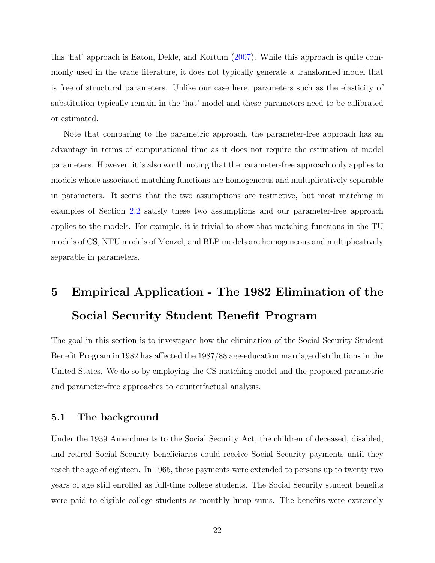this 'hat' approach is Eaton, Dekle, and Kortum [\(2007](#page-35-10)). While this approach is quite commonly used in the trade literature, it does not typically generate a transformed model that is free of structural parameters. Unlike our case here, parameters such as the elasticity of substitution typically remain in the 'hat' model and these parameters need to be calibrated or estimated.

Note that comparing to the parametric approach, the parameter-free approach has an advantage in terms of computational time as it does not require the estimation of model parameters. However, it is also worth noting that the parameter-free approach only applies to models whose associated matching functions are homogeneous and multiplicatively separable in parameters. It seems that the two assumptions are restrictive, but most matching in examples of Section [2.2](#page-47-0) satisfy these two assumptions and our parameter-free approach applies to the models. For example, it is trivial to show that matching functions in the TU models of CS, NTU models of Menzel, and BLP models are homogeneous and multiplicatively separable in parameters.

# <span id="page-21-0"></span>5 Empirical Application - The 1982 Elimination of the Social Security Student Benefit Program

The goal in this section is to investigate how the elimination of the Social Security Student Benefit Program in 1982 has affected the 1987/88 age-education marriage distributions in the United States. We do so by employing the CS matching model and the proposed parametric and parameter-free approaches to counterfactual analysis.

## 5.1 The background

Under the 1939 Amendments to the Social Security Act, the children of deceased, disabled, and retired Social Security beneficiaries could receive Social Security payments until they reach the age of eighteen. In 1965, these payments were extended to persons up to twenty two years of age still enrolled as full-time college students. The Social Security student benefits were paid to eligible college students as monthly lump sums. The benefits were extremely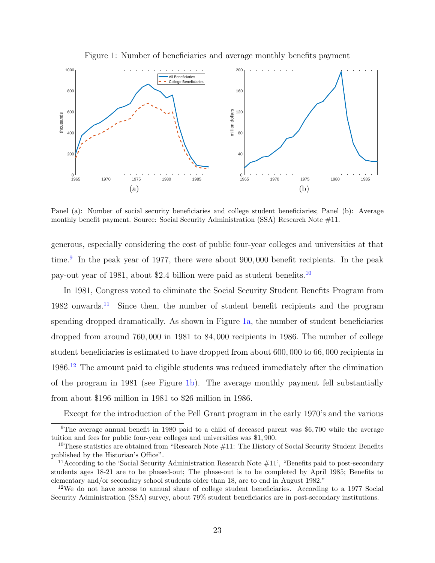<span id="page-22-0"></span>

Figure 1: Number of beneficiaries and average monthly benefits payment

Panel (a): Number of social security beneficiaries and college student beneficiaries; Panel (b): Average monthly benefit payment. Source: Social Security Administration (SSA) Research Note #11.

generous, especially considering the cost of public four-year colleges and universities at that time.<sup>9</sup> In the peak year of 1977, there were about 900,000 benefit recipients. In the peak pay-out year of 1981, about \$2.4 billion were paid as student benefits.<sup>10</sup>

In 1981, Congress voted to eliminate the Social Security Student Benefits Program from 1982 onwards.<sup>11</sup> Since then, the number of student benefit recipients and the program spending dropped dramatically. As shown in Figure [1a,](#page-22-0) the number of student beneficiaries dropped from around 760, 000 in 1981 to 84, 000 recipients in 1986. The number of college student beneficiaries is estimated to have dropped from about 600, 000 to 66, 000 recipients in 1986.<sup>12</sup> The amount paid to eligible students was reduced immediately after the elimination of the program in 1981 (see Figure [1b\)](#page-22-0). The average monthly payment fell substantially from about \$196 million in 1981 to \$26 million in 1986.

Except for the introduction of the Pell Grant program in the early 1970's and the various

<sup>9</sup>The average annual benefit in 1980 paid to a child of deceased parent was \$6, 700 while the average tuition and fees for public four-year colleges and universities was \$1, 900.

<sup>&</sup>lt;sup>10</sup>These statistics are obtained from "Research Note  $\#11$ : The History of Social Security Student Benefits published by the Historian's Office".

<sup>&</sup>lt;sup>11</sup> According to the 'Social Security Administration Research Note  $\#11$ ', "Benefits paid to post-secondary students ages 18-21 are to be phased-out; The phase-out is to be completed by April 1985; Benefits to elementary and/or secondary school students older than 18, are to end in August 1982."

<sup>&</sup>lt;sup>12</sup>We do not have access to annual share of college student beneficiaries. According to a 1977 Social Security Administration (SSA) survey, about 79% student beneficiaries are in post-secondary institutions.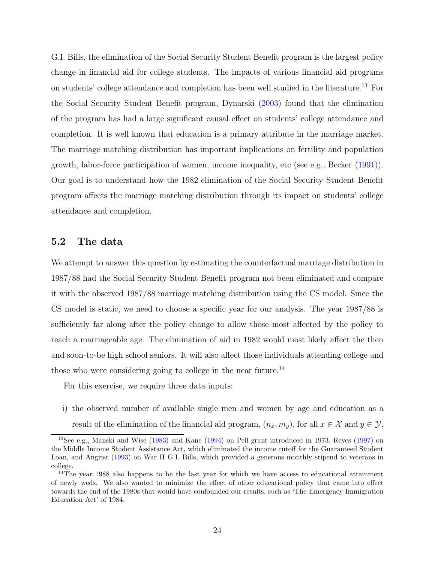G.I. Bills, the elimination of the Social Security Student Benefit program is the largest policy change in financial aid for college students. The impacts of various financial aid programs on students' college attendance and completion has been well studied in the literature.<sup>13</sup> For the Social Security Student Benefit program, Dynarski [\(2003\)](#page-35-4) found that the elimination of the program has had a large significant causal effect on students' college attendance and completion. It is well known that education is a primary attribute in the marriage market. The marriage matching distribution has important implications on fertility and population growth, labor-force participation of women, income inequality, etc (see e.g., Becker [\(1991\)](#page-34-10)). Our goal is to understand how the 1982 elimination of the Social Security Student Benefit program affects the marriage matching distribution through its impact on students' college attendance and completion.

# 5.2 The data

We attempt to answer this question by estimating the counterfactual marriage distribution in 1987/88 had the Social Security Student Benefit program not been eliminated and compare it with the observed 1987/88 marriage matching distribution using the CS model. Since the CS model is static, we need to choose a specific year for our analysis. The year 1987/88 is sufficiently far along after the policy change to allow those most affected by the policy to reach a marriageable age. The elimination of aid in 1982 would most likely affect the then and soon-to-be high school seniors. It will also affect those individuals attending college and those who were considering going to college in the near future.<sup>14</sup>

For this exercise, we require three data inputs:

i) the observed number of available single men and women by age and education as a result of the elimination of the financial aid program,  $(n_x, m_y)$ , for all  $x \in \mathcal{X}$  and  $y \in \mathcal{Y}$ ,

<sup>&</sup>lt;sup>13</sup>See e.g., Manski and Wise [\(1983\)](#page-36-10) and Kane [\(1994\)](#page-36-11) on Pell grant introduced in 1973, Reves [\(1997\)](#page-36-12) on the Middle Income Student Assistance Act, which eliminated the income cutoff for the Guaranteed Student Loan, and Angrist [\(1993\)](#page-34-11) on War II G.I. Bills, which provided a generous monthly stipend to veterans in college.

 $14$ The year 1988 also happens to be the last year for which we have access to educational attainment of newly weds. We also wanted to minimize the effect of other educational policy that came into effect towards the end of the 1980s that would have confounded our results, such as 'The Emergency Immigration Education Act' of 1984.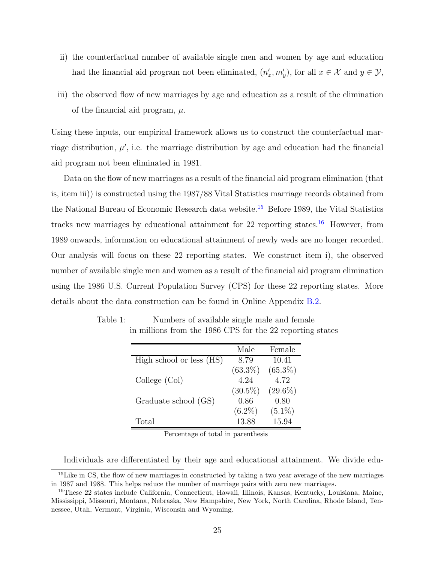- ii) the counterfactual number of available single men and women by age and education had the financial aid program not been eliminated,  $(n'_x, m'_y)$ , for all  $x \in \mathcal{X}$  and  $y \in \mathcal{Y}$ ,
- iii) the observed flow of new marriages by age and education as a result of the elimination of the financial aid program,  $\mu$ .

Using these inputs, our empirical framework allows us to construct the counterfactual marriage distribution,  $\mu'$ , i.e. the marriage distribution by age and education had the financial aid program not been eliminated in 1981.

Data on the flow of new marriages as a result of the financial aid program elimination (that is, item iii)) is constructed using the 1987/88 Vital Statistics marriage records obtained from the National Bureau of Economic Research data website.<sup>15</sup> Before 1989, the Vital Statistics tracks new marriages by educational attainment for  $22$  reporting states.<sup>16</sup> However, from 1989 onwards, information on educational attainment of newly weds are no longer recorded. Our analysis will focus on these 22 reporting states. We construct item i), the observed number of available single men and women as a result of the financial aid program elimination using the 1986 U.S. Current Population Survey (CPS) for these 22 reporting states. More details about the data construction can be found in Online Appendix [B.2.](#page-47-0)

|                          | Male       | Female     |
|--------------------------|------------|------------|
| High school or less (HS) | 8.79       | 10.41      |
|                          | $(63.3\%)$ | $(65.3\%)$ |
| College (Col)            | 4.24       | 4.72       |
|                          | $(30.5\%)$ | $(29.6\%)$ |
| Graduate school (GS)     | 0.86       | 0.80       |
|                          | $(6.2\%)$  | $(5.1\%)$  |
| Total                    | 13.88      | 15.94      |

<span id="page-24-0"></span>Table 1: Numbers of available single male and female in millions from the 1986 CPS for the 22 reporting states

Percentage of total in parenthesis

Individuals are differentiated by their age and educational attainment. We divide edu-

<sup>&</sup>lt;sup>15</sup>Like in CS, the flow of new marriages in constructed by taking a two year average of the new marriages in 1987 and 1988. This helps reduce the number of marriage pairs with zero new marriages.

<sup>&</sup>lt;sup>16</sup>These 22 states include California, Connecticut, Hawaii, Illinois, Kansas, Kentucky, Louisiana, Maine, Mississippi, Missouri, Montana, Nebraska, New Hampshire, New York, North Carolina, Rhode Island, Tennessee, Utah, Vermont, Virginia, Wisconsin and Wyoming.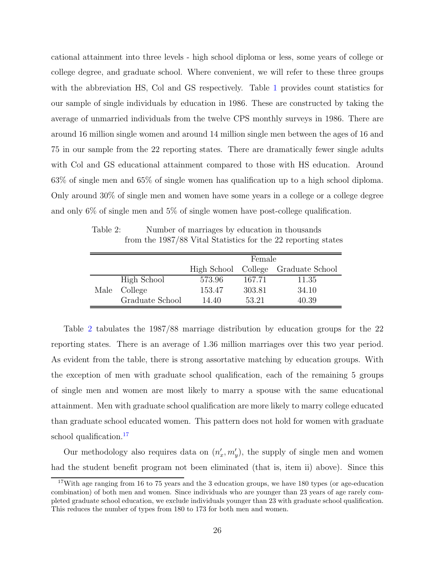cational attainment into three levels - high school diploma or less, some years of college or college degree, and graduate school. Where convenient, we will refer to these three groups with the abbreviation HS, Col and GS respectively. Table [1](#page-24-0) provides count statistics for our sample of single individuals by education in 1986. These are constructed by taking the average of unmarried individuals from the twelve CPS monthly surveys in 1986. There are around 16 million single women and around 14 million single men between the ages of 16 and 75 in our sample from the 22 reporting states. There are dramatically fewer single adults with Col and GS educational attainment compared to those with HS education. Around 63% of single men and 65% of single women has qualification up to a high school diploma. Only around 30% of single men and women have some years in a college or a college degree and only 6% of single men and 5% of single women have post-college qualification.

Table 2: Number of marriages by education in thousands from the 1987/88 Vital Statistics for the 22 reporting states

<span id="page-25-0"></span>

|      |                                     | Female |        |       |  |  |
|------|-------------------------------------|--------|--------|-------|--|--|
|      | High School College Graduate School |        |        |       |  |  |
|      | High School                         | 573.96 | 167.71 | 11.35 |  |  |
| Male | College                             | 153.47 | 303.81 | 34.10 |  |  |
|      | Graduate School                     | 14.40  | 53.21  | 40.39 |  |  |

Table [2](#page-25-0) tabulates the 1987/88 marriage distribution by education groups for the 22 reporting states. There is an average of 1.36 million marriages over this two year period. As evident from the table, there is strong assortative matching by education groups. With the exception of men with graduate school qualification, each of the remaining 5 groups of single men and women are most likely to marry a spouse with the same educational attainment. Men with graduate school qualification are more likely to marry college educated than graduate school educated women. This pattern does not hold for women with graduate school qualification.<sup>17</sup>

Our methodology also requires data on  $(n'_x, m'_y)$ , the supply of single men and women had the student benefit program not been eliminated (that is, item ii) above). Since this

<sup>&</sup>lt;sup>17</sup>With age ranging from 16 to 75 years and the 3 education groups, we have 180 types (or age-education combination) of both men and women. Since individuals who are younger than 23 years of age rarely completed graduate school education, we exclude individuals younger than 23 with graduate school qualification. This reduces the number of types from 180 to 173 for both men and women.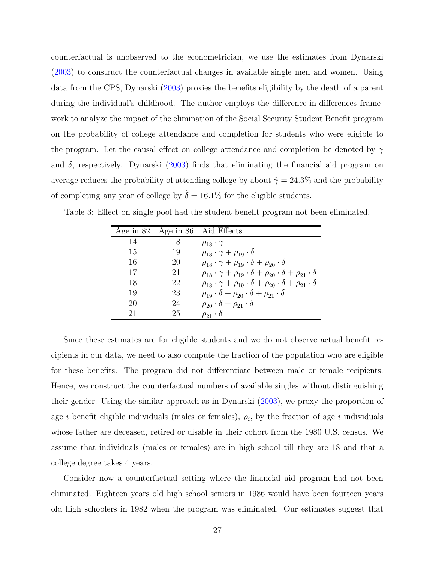counterfactual is unobserved to the econometrician, we use the estimates from Dynarski [\(2003\)](#page-35-4) to construct the counterfactual changes in available single men and women. Using data from the CPS, Dynarski [\(2003\)](#page-35-4) proxies the benefits eligibility by the death of a parent during the individual's childhood. The author employs the difference-in-differences framework to analyze the impact of the elimination of the Social Security Student Benefit program on the probability of college attendance and completion for students who were eligible to the program. Let the causal effect on college attendance and completion be denoted by  $\gamma$ and  $\delta$ , respectively. Dynarski [\(2003](#page-35-4)) finds that eliminating the financial aid program on average reduces the probability of attending college by about  $\hat{\gamma} = 24.3\%$  and the probability of completing any year of college by  $\hat{\delta} = 16.1\%$  for the eligible students.

<span id="page-26-0"></span>

| Table 3: Effect on single pool had the student benefit program not been eliminated. |  |  |  |  |  |  |  |  |  |
|-------------------------------------------------------------------------------------|--|--|--|--|--|--|--|--|--|
|-------------------------------------------------------------------------------------|--|--|--|--|--|--|--|--|--|

|    | Age in $82$ Age in $86$ | Aid Effects                                                                                         |
|----|-------------------------|-----------------------------------------------------------------------------------------------------|
| 14 | 18                      | $\rho_{18} \cdot \gamma$                                                                            |
| 15 | 19                      | $\rho_{18} \cdot \gamma + \rho_{19} \cdot \delta$                                                   |
| 16 | 20                      | $\rho_{18} \cdot \gamma + \rho_{19} \cdot \delta + \rho_{20} \cdot \delta$                          |
| 17 | 21                      | $\rho_{18} \cdot \gamma + \rho_{19} \cdot \delta + \rho_{20} \cdot \delta + \rho_{21} \cdot \delta$ |
| 18 | 22                      | $\rho_{18} \cdot \gamma + \rho_{19} \cdot \delta + \rho_{20} \cdot \delta + \rho_{21} \cdot \delta$ |
| 19 | 23                      | $\rho_{19} \cdot \delta + \rho_{20} \cdot \delta + \rho_{21} \cdot \delta$                          |
| 20 | 24                      | $\rho_{20} \cdot \delta + \rho_{21} \cdot \delta$                                                   |
| 21 | 25                      | $\rho_{21} \cdot \delta$                                                                            |

Since these estimates are for eligible students and we do not observe actual benefit recipients in our data, we need to also compute the fraction of the population who are eligible for these benefits. The program did not differentiate between male or female recipients. Hence, we construct the counterfactual numbers of available singles without distinguishing their gender. Using the similar approach as in Dynarski [\(2003](#page-35-4)), we proxy the proportion of age *i* benefit eligible individuals (males or females),  $\rho_i$ , by the fraction of age *i* individuals whose father are deceased, retired or disable in their cohort from the 1980 U.S. census. We assume that individuals (males or females) are in high school till they are 18 and that a college degree takes 4 years.

Consider now a counterfactual setting where the financial aid program had not been eliminated. Eighteen years old high school seniors in 1986 would have been fourteen years old high schoolers in 1982 when the program was eliminated. Our estimates suggest that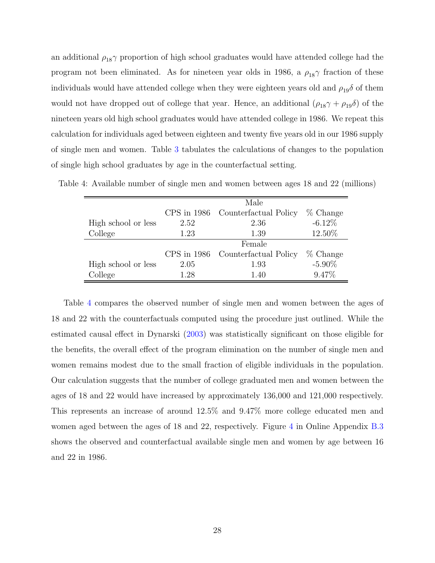an additional  $\rho_{18}$ γ proportion of high school graduates would have attended college had the program not been eliminated. As for nineteen year olds in 1986, a  $\rho_{18}\gamma$  fraction of these individuals would have attended college when they were eighteen years old and  $\rho_{19}\delta$  of them would not have dropped out of college that year. Hence, an additional  $(\rho_{18}\gamma + \rho_{19}\delta)$  of the nineteen years old high school graduates would have attended college in 1986. We repeat this calculation for individuals aged between eighteen and twenty five years old in our 1986 supply of single men and women. Table [3](#page-26-0) tabulates the calculations of changes to the population of single high school graduates by age in the counterfactual setting.

|                     |      | Male                              |            |
|---------------------|------|-----------------------------------|------------|
|                     |      | CPS in 1986 Counterfactual Policy | $%$ Change |
| High school or less | 2.52 | 2.36                              | $-6.12\%$  |
| College             | 1.23 | 1.39                              | 12.50%     |
|                     |      | Female                            |            |
|                     |      | CPS in 1986 Counterfactual Policy | % Change   |
| High school or less | 2.05 | 1.93                              | $-5.90\%$  |
| College             | 1.28 | 1.40                              | 9.47\%     |

<span id="page-27-0"></span>Table 4: Available number of single men and women between ages 18 and 22 (millions)

Table [4](#page-27-0) compares the observed number of single men and women between the ages of 18 and 22 with the counterfactuals computed using the procedure just outlined. While the estimated causal effect in Dynarski [\(2003\)](#page-35-4) was statistically significant on those eligible for the benefits, the overall effect of the program elimination on the number of single men and women remains modest due to the small fraction of eligible individuals in the population. Our calculation suggests that the number of college graduated men and women between the ages of 18 and 22 would have increased by approximately 136,000 and 121,000 respectively. This represents an increase of around 12.5% and 9.47% more college educated men and women aged between the ages of 18 and 22, respectively. Figure [4](#page-49-0) in Online Appendix [B.3](#page-49-1) shows the observed and counterfactual available single men and women by age between 16 and 22 in 1986.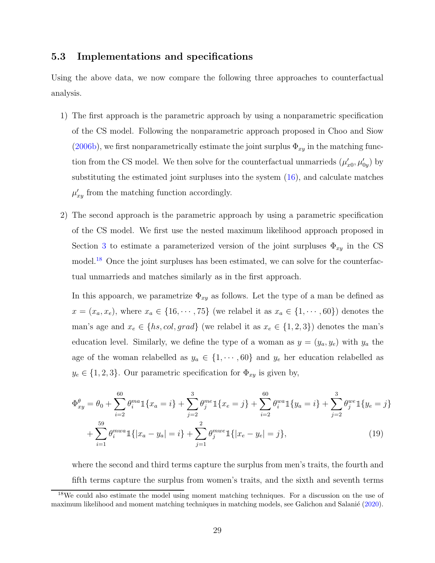# 5.3 Implementations and specifications

Using the above data, we now compare the following three approaches to counterfactual analysis.

- 1) The first approach is the parametric approach by using a nonparametric specification of the CS model. Following the nonparametric approach proposed in Choo and Siow  $(2006b)$ , we first nonparametrically estimate the joint surplus  $\Phi_{xy}$  in the matching function from the CS model. We then solve for the counterfactual unmarrieds  $(\mu'_{x0}, \mu'_{0y})$  by substituting the estimated joint surpluses into the system [\(16\)](#page-18-0), and calculate matches  $\mu'_{xy}$  from the matching function accordingly.
- 2) The second approach is the parametric approach by using a parametric specification of the CS model. We first use the nested maximum likelihood approach proposed in Section [3](#page-11-0) to estimate a parameterized version of the joint surpluses  $\Phi_{xy}$  in the CS model.<sup>18</sup> Once the joint surpluses has been estimated, we can solve for the counterfactual unmarrieds and matches similarly as in the first approach.

In this appoarch, we parametrize  $\Phi_{xy}$  as follows. Let the type of a man be defined as  $x = (x_a, x_e)$ , where  $x_a \in \{16, \dots, 75\}$  (we relabel it as  $x_a \in \{1, \dots, 60\}$ ) denotes the man's age and  $x_e \in \{hs, col, grad\}$  (we relabel it as  $x_e \in \{1, 2, 3\}$ ) denotes the man's education level. Similarly, we define the type of a woman as  $y = (y_a, y_e)$  with  $y_a$  the age of the woman relabelled as  $y_a \in \{1, \dots, 60\}$  and  $y_e$  her education relabelled as  $y_e \in \{1, 2, 3\}$ . Our parametric specification for  $\Phi_{xy}$  is given by,

$$
\Phi_{xy}^{\theta} = \theta_0 + \sum_{i=2}^{60} \theta_i^{ma} \mathbb{1}\{x_a = i\} + \sum_{j=2}^{3} \theta_j^{me} \mathbb{1}\{x_e = j\} + \sum_{i=2}^{60} \theta_i^{wa} \mathbb{1}\{y_a = i\} + \sum_{j=2}^{3} \theta_j^{we} \mathbb{1}\{y_e = j\} + \sum_{i=1}^{59} \theta_i^{mwa} \mathbb{1}\{|x_a - y_a| = i\} + \sum_{j=1}^{2} \theta_j^{mwe} \mathbb{1}\{|x_e - y_e| = j\},
$$
\n(19)

where the second and third terms capture the surplus from men's traits, the fourth and fifth terms capture the surplus from women's traits, and the sixth and seventh terms

<sup>&</sup>lt;sup>18</sup>We could also estimate the model using moment matching techniques. For a discussion on the use of maximum likelihood and moment matching techniques in matching models, see Galichon and Salanié [\(2020\)](#page-35-0).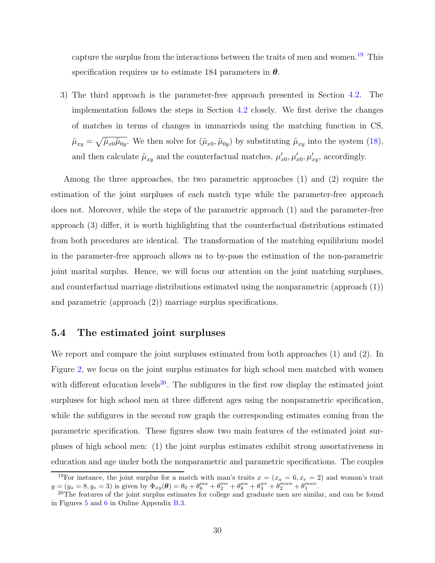capture the surplus from the interactions between the traits of men and women.<sup>19</sup> This specification requires us to estimate 184 parameters in  $\theta$ .

3) The third approach is the parameter-free approach presented in Section [4.2.](#page-18-2) The implementation follows the steps in Section [4.2](#page-18-2) closely. We first derive the changes of matches in terms of changes in unmarrieds using the matching function in CS,  $\tilde{\mu}_{xy} = \sqrt{\tilde{\mu}_{x0}\tilde{\mu}_{0y}}$ . We then solve for  $(\tilde{\mu}_{x0}, \tilde{\mu}_{0y})$  by substituting  $\tilde{\mu}_{xy}$  into the system [\(18\)](#page-20-0), and then calculate  $\tilde{\mu}_{xy}$  and the counterfactual matches,  $\mu'_{x0}, \mu'_{xy}, \mu'_{xy}$ , accordingly.

Among the three approaches, the two parametric approaches (1) and (2) require the estimation of the joint surpluses of each match type while the parameter-free approach does not. Moreover, while the steps of the parametric approach (1) and the parameter-free approach (3) differ, it is worth highlighting that the counterfactual distributions estimated from both procedures are identical. The transformation of the matching equilibrium model in the parameter-free approach allows us to by-pass the estimation of the non-parametric joint marital surplus. Hence, we will focus our attention on the joint matching surpluses, and counterfactual marriage distributions estimated using the nonparametric (approach (1)) and parametric (approach (2)) marriage surplus specifications.

# 5.4 The estimated joint surpluses

We report and compare the joint surpluses estimated from both approaches (1) and (2). In Figure [2,](#page-30-0) we focus on the joint surplus estimates for high school men matched with women with different education levels<sup>20</sup>. The subfigures in the first row display the estimated joint surpluses for high school men at three different ages using the nonparametric specification, while the subfigures in the second row graph the corresponding estimates coming from the parametric specification. These figures show two main features of the estimated joint surpluses of high school men: (1) the joint surplus estimates exhibit strong assortativeness in education and age under both the nonparametric and parametric specifications. The couples

<sup>&</sup>lt;sup>19</sup>For instance, the joint surplus for a match with man's traits  $x = (x_a = 6, x_e = 2)$  and woman's trait  $y = (y_a = 8, y_e = 3)$  is given by  $\Phi_{xy}(\theta) = \theta_0 + \theta_6^{ma} + \theta_2^{me} + \theta_8^{wa} + \theta_3^{we} + \theta_2^{mwa} + \theta_1^{mwe}$ .

<sup>&</sup>lt;sup>20</sup>The features of the joint surplus estimates for college and graduate men are similar, and can be found in Figures [5](#page-50-0) and [6](#page-50-1) in Online Appendix [B.3.](#page-49-1)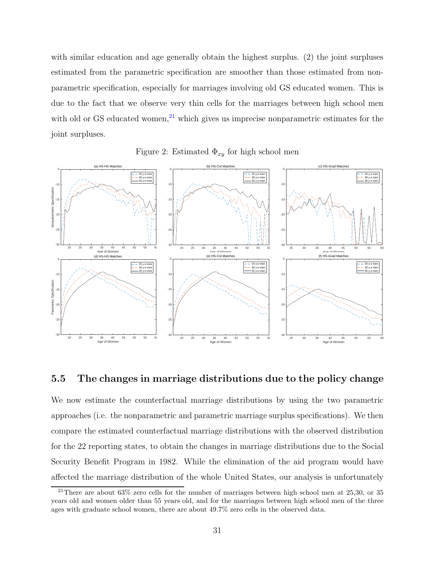with similar education and age generally obtain the highest surplus. (2) the joint surpluses estimated from the parametric specification are smoother than those estimated from nonparametric specification, especially for marriages involving old GS educated women. This is due to the fact that we observe very thin cells for the marriages between high school men with old or GS educated women, $^{21}$  which gives us imprecise nonparametric estimates for the joint surpluses.

<span id="page-30-0"></span>

Figure 2: Estimated  $\Phi_{xy}$  for high school men

## 5.5 The changes in marriage distributions due to the policy change

We now estimate the counterfactual marriage distributions by using the two parametric approaches (i.e. the nonparametric and parametric marriage surplus specifications). We then compare the estimated counterfactual marriage distributions with the observed distribution for the 22 reporting states, to obtain the changes in marriage distributions due to the Social Security Benefit Program in 1982. While the elimination of the aid program would have affected the marriage distribution of the whole United States, our analysis is unfortunately

<sup>&</sup>lt;sup>21</sup>There are about  $63\%$  zero cells for the number of marriages between high school men at 25,30, or 35 years old and women older than 55 years old, and for the marriages between high school men of the three ages with graduate school women, there are about 49.7% zero cells in the observed data.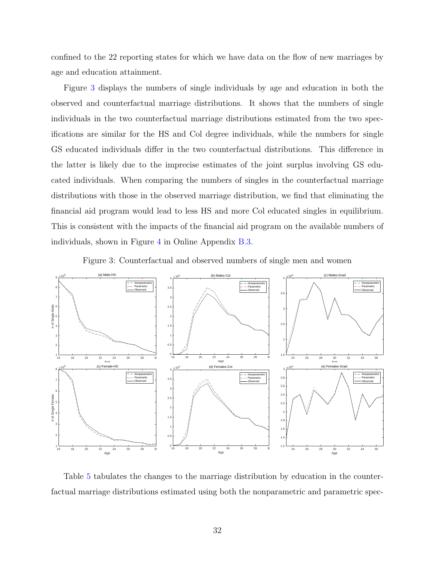confined to the 22 reporting states for which we have data on the flow of new marriages by age and education attainment.

Figure [3](#page-31-0) displays the numbers of single individuals by age and education in both the observed and counterfactual marriage distributions. It shows that the numbers of single individuals in the two counterfactual marriage distributions estimated from the two specifications are similar for the HS and Col degree individuals, while the numbers for single GS educated individuals differ in the two counterfactual distributions. This difference in the latter is likely due to the imprecise estimates of the joint surplus involving GS educated individuals. When comparing the numbers of singles in the counterfactual marriage distributions with those in the observed marriage distribution, we find that eliminating the financial aid program would lead to less HS and more Col educated singles in equilibrium. This is consistent with the impacts of the financial aid program on the available numbers of individuals, shown in Figure [4](#page-49-0) in Online Appendix [B.3.](#page-49-1)

<span id="page-31-0"></span>

Figure 3: Counterfactual and observed numbers of single men and women

Table [5](#page-32-0) tabulates the changes to the marriage distribution by education in the counterfactual marriage distributions estimated using both the nonparametric and parametric spec-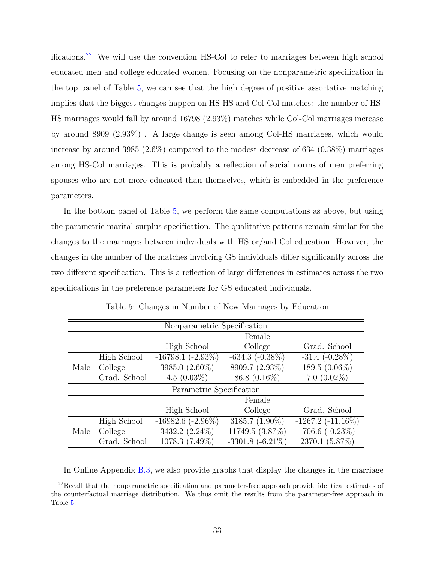ifications.<sup>22</sup> We will use the convention HS-Col to refer to marriages between high school educated men and college educated women. Focusing on the nonparametric specification in the top panel of Table [5,](#page-32-0) we can see that the high degree of positive assortative matching implies that the biggest changes happen on HS-HS and Col-Col matches: the number of HS-HS marriages would fall by around 16798 (2.93%) matches while Col-Col marriages increase by around 8909 (2.93%) . A large change is seen among Col-HS marriages, which would increase by around 3985 (2.6%) compared to the modest decrease of 634 (0.38%) marriages among HS-Col marriages. This is probably a reflection of social norms of men preferring spouses who are not more educated than themselves, which is embedded in the preference parameters.

In the bottom panel of Table [5,](#page-32-0) we perform the same computations as above, but using the parametric marital surplus specification. The qualitative patterns remain similar for the changes to the marriages between individuals with HS or/and Col education. However, the changes in the number of the matches involving GS individuals differ significantly across the two different specification. This is a reflection of large differences in estimates across the two specifications in the preference parameters for GS educated individuals.

<span id="page-32-0"></span>

| Nonparametric Specification |              |                          |                       |                        |  |  |  |
|-----------------------------|--------------|--------------------------|-----------------------|------------------------|--|--|--|
|                             | Female       |                          |                       |                        |  |  |  |
|                             |              | High School              | College               | Grad. School           |  |  |  |
|                             | High School  | $-16798.1$ $(-2.93\%)$   | $-634.3$ $(-0.38\%)$  | $-31.4$ $(-0.28\%)$    |  |  |  |
| Male                        | College      | 3985.0 (2.60%)           | 8909.7 (2.93%)        | 189.5 (0.06%)          |  |  |  |
|                             | Grad. School | 4.5 $(0.03\%)$           | $86.8(0.16\%)$        | $7.0(0.02\%)$          |  |  |  |
| Parametric Specification    |              |                          |                       |                        |  |  |  |
| Female                      |              |                          |                       |                        |  |  |  |
|                             |              | High School              | College               | Grad. School           |  |  |  |
|                             | High School  | $-16982.6$ ( $-2.96\%$ ) | 3185.7 (1.90%)        | $-1267.2$ $(-11.16\%)$ |  |  |  |
| Male                        | College      | 3432.2 (2.24%)           | 11749.5 (3.87%)       | $-706.6$ $(-0.23\%)$   |  |  |  |
|                             | Grad. School | 1078.3 (7.49%)           | $-3301.8$ $(-6.21\%)$ | 2370.1 (5.87%)         |  |  |  |

Table 5: Changes in Number of New Marriages by Education

In Online Appendix [B.3,](#page-49-1) we also provide graphs that display the changes in the marriage

 $^{22}$ Recall that the nonparametric specification and parameter-free approach provide identical estimates of the counterfactual marriage distribution. We thus omit the results from the parameter-free approach in Table [5.](#page-32-0)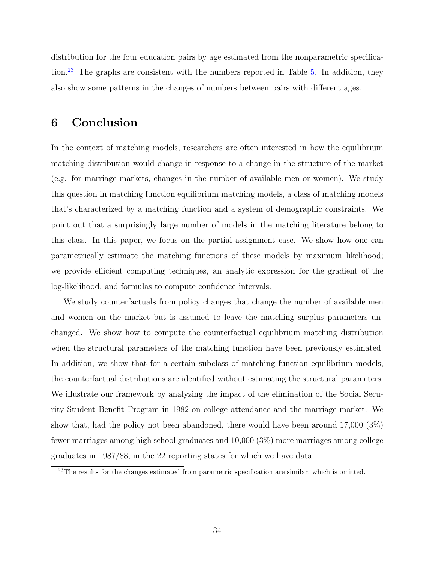distribution for the four education pairs by age estimated from the nonparametric specifica-tion.<sup>23</sup> The graphs are consistent with the numbers reported in Table [5.](#page-32-0) In addition, they also show some patterns in the changes of numbers between pairs with different ages.

# <span id="page-33-0"></span>6 Conclusion

In the context of matching models, researchers are often interested in how the equilibrium matching distribution would change in response to a change in the structure of the market (e.g. for marriage markets, changes in the number of available men or women). We study this question in matching function equilibrium matching models, a class of matching models that's characterized by a matching function and a system of demographic constraints. We point out that a surprisingly large number of models in the matching literature belong to this class. In this paper, we focus on the partial assignment case. We show how one can parametrically estimate the matching functions of these models by maximum likelihood; we provide efficient computing techniques, an analytic expression for the gradient of the log-likelihood, and formulas to compute confidence intervals.

We study counterfactuals from policy changes that change the number of available men and women on the market but is assumed to leave the matching surplus parameters unchanged. We show how to compute the counterfactual equilibrium matching distribution when the structural parameters of the matching function have been previously estimated. In addition, we show that for a certain subclass of matching function equilibrium models, the counterfactual distributions are identified without estimating the structural parameters. We illustrate our framework by analyzing the impact of the elimination of the Social Security Student Benefit Program in 1982 on college attendance and the marriage market. We show that, had the policy not been abandoned, there would have been around 17,000 (3%) fewer marriages among high school graduates and 10,000 (3%) more marriages among college graduates in 1987/88, in the 22 reporting states for which we have data.

<sup>&</sup>lt;sup>23</sup>The results for the changes estimated from parametric specification are similar, which is omitted.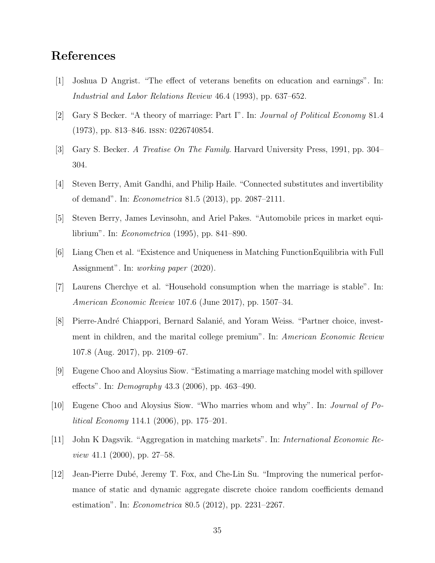# <span id="page-34-11"></span>References

- <span id="page-34-5"></span>[1] Joshua D Angrist. "The effect of veterans benefits on education and earnings". In: Industrial and Labor Relations Review 46.4 (1993), pp. 637–652.
- <span id="page-34-10"></span>[2] Gary S Becker. "A theory of marriage: Part I". In: Journal of Political Economy 81.4 (1973), pp. 813–846. issn: 0226740854.
- <span id="page-34-9"></span>[3] Gary S. Becker. A Treatise On The Family. Harvard University Press, 1991, pp. 304– 304.
- <span id="page-34-4"></span>[4] Steven Berry, Amit Gandhi, and Philip Haile. "Connected substitutes and invertibility of demand". In: Econometrica 81.5 (2013), pp. 2087–2111.
- <span id="page-34-2"></span>[5] Steven Berry, James Levinsohn, and Ariel Pakes. "Automobile prices in market equilibrium". In: Econometrica (1995), pp. 841–890.
- <span id="page-34-8"></span>[6] Liang Chen et al. "Existence and Uniqueness in Matching FunctionEquilibria with Full Assignment". In: working paper (2020).
- <span id="page-34-1"></span>[7] Laurens Cherchye et al. "Household consumption when the marriage is stable". In: American Economic Review 107.6 (June 2017), pp. 1507–34.
- [8] Pierre-André Chiappori, Bernard Salanié, and Yoram Weiss. "Partner choice, investment in children, and the marital college premium". In: American Economic Review 107.8 (Aug. 2017), pp. 2109–67.
- <span id="page-34-6"></span><span id="page-34-0"></span>[9] Eugene Choo and Aloysius Siow. "Estimating a marriage matching model with spillover effects". In: Demography 43.3 (2006), pp. 463–490.
- <span id="page-34-3"></span>[10] Eugene Choo and Aloysius Siow. "Who marries whom and why". In: Journal of Political Economy 114.1 (2006), pp. 175–201.
- <span id="page-34-7"></span>[11] John K Dagsvik. "Aggregation in matching markets". In: International Economic Review 41.1 (2000), pp. 27–58.
- [12] Jean-Pierre Dub´e, Jeremy T. Fox, and Che-Lin Su. "Improving the numerical performance of static and dynamic aggregate discrete choice random coefficients demand estimation". In: *Econometrica* 80.5 (2012), pp. 2231–2267.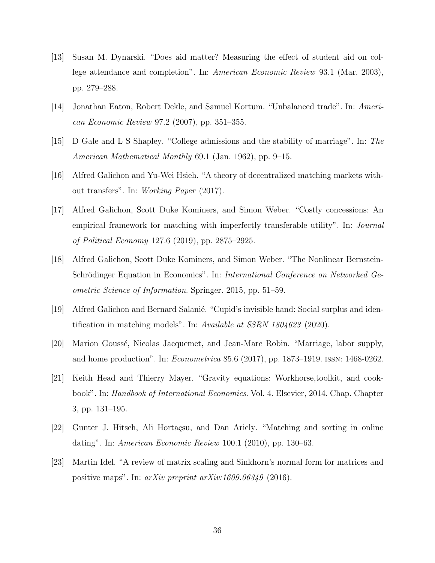- <span id="page-35-4"></span>[13] Susan M. Dynarski. "Does aid matter? Measuring the effect of student aid on college attendance and completion". In: American Economic Review 93.1 (Mar. 2003), pp. 279–288.
- <span id="page-35-10"></span><span id="page-35-5"></span>[14] Jonathan Eaton, Robert Dekle, and Samuel Kortum. "Unbalanced trade". In: American Economic Review 97.2 (2007), pp. 351–355.
- <span id="page-35-7"></span>[15] D Gale and L S Shapley. "College admissions and the stability of marriage". In: The American Mathematical Monthly 69.1 (Jan. 1962), pp. 9–15.
- <span id="page-35-2"></span>[16] Alfred Galichon and Yu-Wei Hsieh. "A theory of decentralized matching markets without transfers". In: Working Paper (2017).
- [17] Alfred Galichon, Scott Duke Kominers, and Simon Weber. "Costly concessions: An empirical framework for matching with imperfectly transferable utility". In: Journal of Political Economy 127.6 (2019), pp. 2875–2925.
- <span id="page-35-8"></span>[18] Alfred Galichon, Scott Duke Kominers, and Simon Weber. "The Nonlinear Bernstein-Schrödinger Equation in Economics". In: *International Conference on Networked Ge*ometric Science of Information. Springer. 2015, pp. 51–59.
- <span id="page-35-6"></span><span id="page-35-0"></span>[19] Alfred Galichon and Bernard Salanié. "Cupid's invisible hand: Social surplus and identification in matching models". In: *Available at SSRN 1804623* (2020).
- <span id="page-35-3"></span>[20] Marion Goussé, Nicolas Jacquemet, and Jean-Marc Robin. "Marriage, labor supply, and home production". In: *Econometrica* 85.6 (2017), pp. 1873–1919. ISSN: 1468-0262.
- [21] Keith Head and Thierry Mayer. "Gravity equations: Workhorse,toolkit, and cookbook". In: *Handbook of International Economics*. Vol. 4. Elsevier, 2014. Chap. Chapter 3, pp. 131–195.
- <span id="page-35-9"></span><span id="page-35-1"></span>[22] Gunter J. Hitsch, Ali Hortaçsu, and Dan Ariely. "Matching and sorting in online dating". In: American Economic Review 100.1 (2010), pp. 130–63.
- [23] Martin Idel. "A review of matrix scaling and Sinkhorn's normal form for matrices and positive maps". In:  $arXiv$  preprint  $arXiv:1609.06349$  (2016).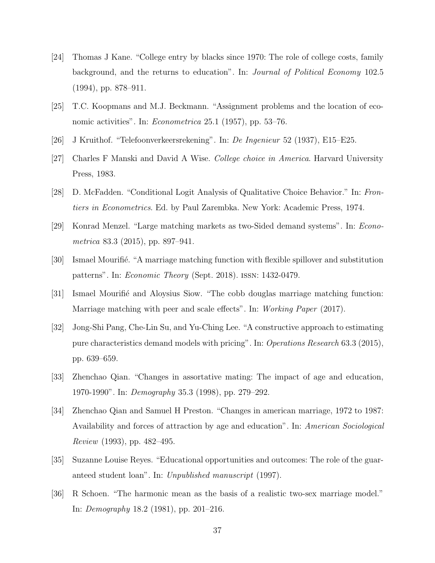- <span id="page-36-11"></span>[24] Thomas J Kane. "College entry by blacks since 1970: The role of college costs, family background, and the returns to education". In: Journal of Political Economy 102.5 (1994), pp. 878–911.
- <span id="page-36-9"></span><span id="page-36-3"></span>[25] T.C. Koopmans and M.J. Beckmann. "Assignment problems and the location of economic activities". In: *Econometrica* 25.1 (1957), pp. 53–76.
- <span id="page-36-10"></span>[26] J Kruithof. "Telefoonverkeersrekening". In: De Ingenieur 52 (1937), E15–E25.
- <span id="page-36-6"></span>[27] Charles F Manski and David A Wise. College choice in America. Harvard University Press, 1983.
- <span id="page-36-2"></span>[28] D. McFadden. "Conditional Logit Analysis of Qualitative Choice Behavior." In: Frontiers in Econometrics. Ed. by Paul Zarembka. New York: Academic Press, 1974.
- <span id="page-36-4"></span>[29] Konrad Menzel. "Large matching markets as two-Sided demand systems". In: Econometrica 83.3 (2015), pp. 897–941.
- <span id="page-36-8"></span>[30] Ismael Mourifié. "A marriage matching function with flexible spillover and substitution patterns". In: Economic Theory (Sept. 2018). issn: 1432-0479.
- <span id="page-36-5"></span>[31] Ismael Mourifié and Aloysius Siow. "The cobb douglas marriage matching function: Marriage matching with peer and scale effects". In: Working Paper (2017).
- [32] Jong-Shi Pang, Che-Lin Su, and Yu-Ching Lee. "A constructive approach to estimating pure characteristics demand models with pricing". In: Operations Research 63.3 (2015), pp. 639–659.
- <span id="page-36-7"></span><span id="page-36-0"></span>[33] Zhenchao Qian. "Changes in assortative mating: The impact of age and education, 1970-1990". In: Demography 35.3 (1998), pp. 279–292.
- [34] Zhenchao Qian and Samuel H Preston. "Changes in american marriage, 1972 to 1987: Availability and forces of attraction by age and education". In: American Sociological Review (1993), pp. 482–495.
- <span id="page-36-12"></span><span id="page-36-1"></span>[35] Suzanne Louise Reyes. "Educational opportunities and outcomes: The role of the guaranteed student loan". In: Unpublished manuscript (1997).
- [36] R Schoen. "The harmonic mean as the basis of a realistic two-sex marriage model." In: Demography 18.2 (1981), pp. 201–216.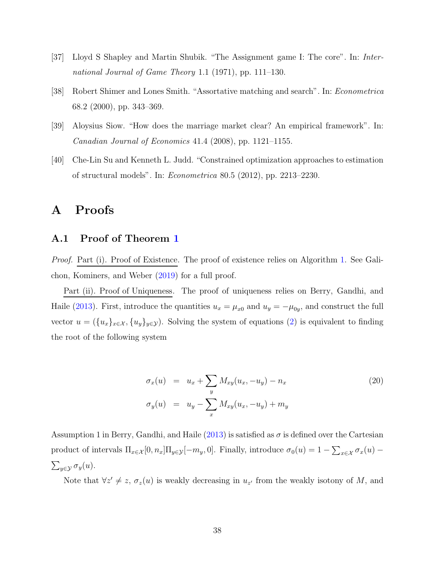- <span id="page-37-2"></span><span id="page-37-0"></span>[37] Lloyd S Shapley and Martin Shubik. "The Assignment game I: The core". In: International Journal of Game Theory 1.1 (1971), pp. 111–130.
- <span id="page-37-1"></span>[38] Robert Shimer and Lones Smith. "Assortative matching and search". In: Econometrica 68.2 (2000), pp. 343–369.
- <span id="page-37-3"></span>[39] Aloysius Siow. "How does the marriage market clear? An empirical framework". In: Canadian Journal of Economics 41.4 (2008), pp. 1121–1155.
- <span id="page-37-4"></span>[40] Che-Lin Su and Kenneth L. Judd. "Constrained optimization approaches to estimation of structural models". In: Econometrica 80.5 (2012), pp. 2213–2230.

# A Proofs

# A.1 Proof of Theorem [1](#page-10-0)

Proof. Part (i). Proof of Existence. The proof of existence relies on Algorithm [1.](#page-11-1) See Galichon, Kominers, and Weber [\(2019](#page-35-2)) for a full proof.

Part (ii). Proof of Uniqueness. The proof of uniqueness relies on Berry, Gandhi, and Haile [\(2013\)](#page-34-9). First, introduce the quantities  $u_x = \mu_{x0}$  and  $u_y = -\mu_{0y}$ , and construct the full vector  $u = (\{u_x\}_{x \in \mathcal{X}}, \{u_y\}_{y \in \mathcal{Y}})$ . Solving the system of equations [\(2\)](#page-6-0) is equivalent to finding the root of the following system

<span id="page-37-5"></span>
$$
\sigma_x(u) = u_x + \sum_y M_{xy}(u_x, -u_y) - n_x
$$
  
\n
$$
\sigma_y(u) = u_y - \sum_x M_{xy}(u_x, -u_y) + m_y
$$
\n(20)

Assumption 1 in Berry, Gandhi, and Haile [\(2013](#page-34-9)) is satisfied as  $\sigma$  is defined over the Cartesian product of intervals  $\Pi_{x \in \mathcal{X}}[0, n_x] \Pi_{y \in \mathcal{Y}}[-m_y, 0]$ . Finally, introduce  $\sigma_0(u) = 1 - \sum_{x \in \mathcal{X}} \sigma_x(u)$  $\sum_{y\in\mathcal{Y}}\sigma_y(u).$ 

Note that  $\forall z' \neq z, \sigma_z(u)$  is weakly decreasing in  $u_{z'}$  from the weakly isotony of M, and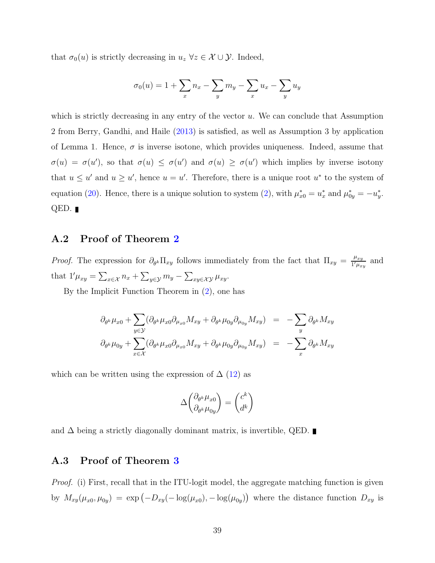that  $\sigma_0(u)$  is strictly decreasing in  $u_z \ \forall z \in \mathcal{X} \cup \mathcal{Y}$ . Indeed,

$$
\sigma_0(u) = 1 + \sum_x n_x - \sum_y m_y - \sum_x u_x - \sum_y u_y
$$

which is strictly decreasing in any entry of the vector  $u$ . We can conclude that Assumption 2 from Berry, Gandhi, and Haile [\(2013\)](#page-34-9) is satisfied, as well as Assumption 3 by application of Lemma 1. Hence,  $\sigma$  is inverse isotone, which provides uniqueness. Indeed, assume that  $\sigma(u) = \sigma(u')$ , so that  $\sigma(u) \leq \sigma(u')$  and  $\sigma(u) \geq \sigma(u')$  which implies by inverse isotony that  $u \leq u'$  and  $u \geq u'$ , hence  $u = u'$ . Therefore, there is a unique root  $u^*$  to the system of equation [\(20\)](#page-37-5). Hence, there is a unique solution to system [\(2\)](#page-6-0), with  $\mu_{x0}^* = u_x^*$  and  $\mu_{0y}^* = -u_y^*$ . QED.

# A.2 Proof of Theorem [2](#page-13-0)

*Proof.* The expression for  $\partial_{\theta^k} \Pi_{xy}$  follows immediately from the fact that  $\Pi_{xy} = \frac{\mu_{xy}}{1/\mu_x}$  $\frac{\mu_{xy}}{1'\mu_{xy}}$  and that  $1'\mu_{xy} = \sum_{x \in \mathcal{X}} n_x + \sum_{y \in \mathcal{Y}} m_y - \sum_{xy \in \mathcal{XY}} \mu_{xy}$ .

By the Implicit Function Theorem in [\(2\)](#page-6-0), one has

$$
\partial_{\theta^k} \mu_{x0} + \sum_{y \in \mathcal{Y}} (\partial_{\theta^k} \mu_{x0} \partial_{\mu_{x0}} M_{xy} + \partial_{\theta^k} \mu_{0y} \partial_{\mu_{0y}} M_{xy}) = -\sum_y \partial_{\theta^k} M_{xy}
$$
  

$$
\partial_{\theta^k} \mu_{0y} + \sum_{x \in \mathcal{X}} (\partial_{\theta^k} \mu_{x0} \partial_{\mu_{x0}} M_{xy} + \partial_{\theta^k} \mu_{0y} \partial_{\mu_{0y}} M_{xy}) = -\sum_x \partial_{\theta^k} M_{xy}
$$

which can be written using the expression of  $\Delta$  [\(12\)](#page-13-1) as

$$
\Delta\binom{\partial_{\theta^k}\mu_{x0}}{\partial_{\theta^k}\mu_{0y}}=\binom{c^k}{d^k}
$$

and  $\Delta$  being a strictly diagonally dominant matrix, is invertible, QED.

# A.3 Proof of Theorem [3](#page-16-0)

*Proof.* (i) First, recall that in the ITU-logit model, the aggregate matching function is given by  $M_{xy}(\mu_{x0}, \mu_{0y}) = \exp(-D_{xy}(-\log(\mu_{x0}), -\log(\mu_{0y}))$  where the distance function  $D_{xy}$  is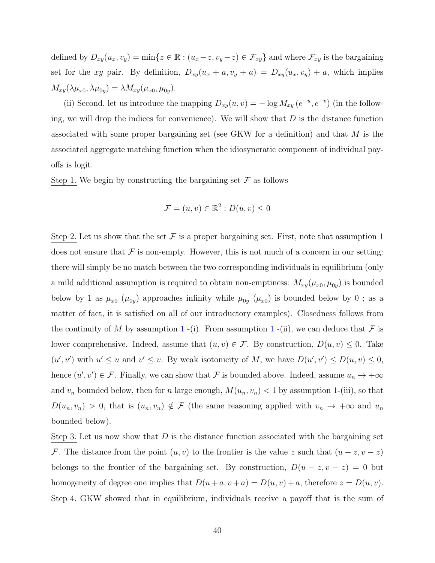defined by  $D_{xy}(u_x, v_y) = \min\{z \in \mathbb{R} : (u_x-z, v_y-z) \in \mathcal{F}_{xy}\}\$ and where  $\mathcal{F}_{xy}$  is the bargaining set for the xy pair. By definition,  $D_{xy}(u_x + a, v_y + a) = D_{xy}(u_x, v_y) + a$ , which implies  $M_{xy}(\lambda\mu_{x0}, \lambda\mu_{0y}) = \lambda M_{xy}(\mu_{x0}, \mu_{0y}).$ 

(ii) Second, let us introduce the mapping  $D_{xy}(u, v) = -\log M_{xy}(e^{-u}, e^{-v})$  (in the following, we will drop the indices for convenience). We will show that  $D$  is the distance function associated with some proper bargaining set (see GKW for a definition) and that M is the associated aggregate matching function when the idiosyncratic component of individual payoffs is logit.

Step 1. We begin by constructing the bargaining set  $\mathcal F$  as follows

$$
\mathcal{F} = (u, v) \in \mathbb{R}^2 : D(u, v) \le 0
$$

Step 2. Let us show that the set  $\mathcal F$  is a proper bargaining set. First, note that assumption [1](#page-10-1) does not ensure that  $\mathcal F$  is non-empty. However, this is not much of a concern in our setting: there will simply be no match between the two corresponding individuals in equilibrium (only a mild additional assumption is required to obtain non-emptiness:  $M_{xy}(\mu_{x0}, \mu_{0y})$  is bounded below by 1 as  $\mu_{x0}$  ( $\mu_{0y}$ ) approaches infinity while  $\mu_{0y}$  ( $\mu_{x0}$ ) is bounded below by 0; as a matter of fact, it is satisfied on all of our introductory examples). Closedness follows from the continuity of M by assumption [1](#page-10-1)-(i). From assumption 1-(ii), we can deduce that  $\mathcal F$  is lower comprehensive. Indeed, assume that  $(u, v) \in \mathcal{F}$ . By construction,  $D(u, v) \leq 0$ . Take  $(u', v')$  with  $u' \leq u$  and  $v' \leq v$ . By weak isotonicity of M, we have  $D(u', v') \leq D(u, v) \leq 0$ , hence  $(u', v') \in \mathcal{F}$ . Finally, we can show that  $\mathcal F$  is bounded above. Indeed, assume  $u_n \to +\infty$ and  $v_n$  bounded below, then for n large enough,  $M(u_n, v_n) < 1$  by assumption [1-](#page-10-1)(iii), so that  $D(u_n, v_n) > 0$ , that is  $(u_n, v_n) \notin \mathcal{F}$  (the same reasoning applied with  $v_n \to +\infty$  and  $u_n$ bounded below).

Step 3. Let us now show that  $D$  is the distance function associated with the bargaining set F. The distance from the point  $(u, v)$  to the frontier is the value z such that  $(u - z, v - z)$ belongs to the frontier of the bargaining set. By construction,  $D(u - z, v - z) = 0$  but homogeneity of degree one implies that  $D(u + a, v + a) = D(u, v) + a$ , therefore  $z = D(u, v)$ . Step 4. GKW showed that in equilibrium, individuals receive a payoff that is the sum of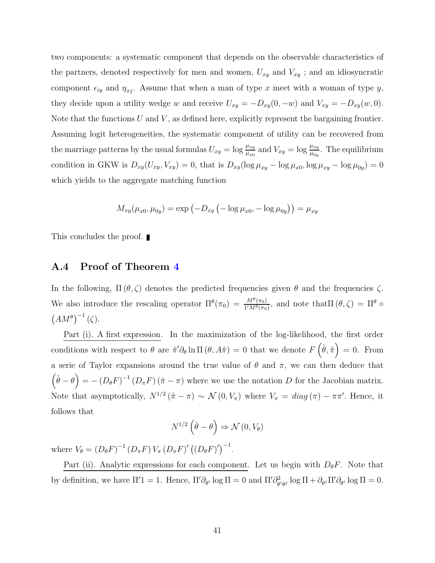two components: a systematic component that depends on the observable characteristics of the partners, denoted respectively for men and women,  $U_{xy}$  and  $V_{xy}$ ; and an idiosyncratic component  $\epsilon_{iy}$  and  $\eta_{xj}$ . Assume that when a man of type x meet with a woman of type y, they decide upon a utility wedge w and receive  $U_{xy} = -D_{xy}(0, -w)$  and  $V_{xy} = -D_{xy}(w, 0)$ . Note that the functions  $U$  and  $V$ , as defined here, explicitly represent the bargaining frontier. Assuming logit heterogeneities, the systematic component of utility can be recovered from the marriage patterns by the usual formulas  $U_{xy} = \log \frac{\mu_{xy}}{\mu_{x0}}$  and  $V_{xy} = \log \frac{\mu_{xy}}{\mu_{0y}}$ . The equilibrium condition in GKW is  $D_{xy}(U_{xy}, V_{xy}) = 0$ , that is  $D_{xy}(\log \mu_{xy} - \log \mu_{x0}, \log \mu_{xy} - \log \mu_{0y}) = 0$ which yields to the aggregate matching function

$$
M_{xy}(\mu_{x0}, \mu_{0y}) = \exp(-D_{xy}(-\log \mu_{x0}, -\log \mu_{0y})) = \mu_{xy}
$$

This concludes the proof.

# A.4 Proof of Theorem [4](#page-17-1)

In the following,  $\Pi(\theta, \zeta)$  denotes the predicted frequencies given  $\theta$  and the frequencies  $\zeta$ . We also introduce the rescaling operator  $\Pi^{\theta}(\pi_0) = \frac{M^{\theta}(\pi_0)}{1/M^{\theta}(\pi_0)}$  $\frac{M^{\nu}(\pi_0)}{1'M^{\theta}(\pi_0)},$  and note that  $\Pi(\theta,\zeta)=\Pi^{\theta}$  o  $(AM^{\theta})^{-1}(\zeta).$ 

Part (i). A first expression. In the maximization of the log-likelihood, the first order conditions with respect to  $\theta$  are  $\hat{\pi}' \partial_{\theta} \ln \Pi (\theta, A\hat{\pi}) = 0$  that we denote  $F(\hat{\theta}, \hat{\pi}) = 0$ . From a serie of Taylor expansions around the true value of  $\theta$  and  $\pi$ , we can then deduce that  $(\hat{\theta} - \theta) = -(D_{\theta}F)^{-1} (D_{\pi}F) (\hat{\pi} - \pi)$  where we use the notation D for the Jacobian matrix. Note that asymptotically,  $N^{1/2}(\hat{\pi}-\pi) \sim \mathcal{N}(0, V_{\pi})$  where  $V_{\pi} = diag(\pi) - \pi \pi'$ . Hence, it follows that

$$
N^{1/2} \left( \hat{\theta} - \theta \right) \Rightarrow \mathcal{N} \left( 0, V_{\theta} \right)
$$

where  $V_{\theta} = (D_{\theta}F)^{-1} (D_{\pi}F) V_{\pi} (D_{\pi}F)' ((D_{\theta}F)')^{-1}$ .

Part (ii). Analytic expressions for each component. Let us begin with  $D_{\theta}F$ . Note that by definition, we have  $\Pi'1 = 1$ . Hence,  $\Pi' \partial_{\theta} i \log \Pi = 0$  and  $\Pi' \partial_{\theta}^2$  $\partial_{\theta^i \theta^j}^2 \log \Pi + \partial_{\theta^j} \Pi' \partial_{\theta^i} \log \Pi = 0.$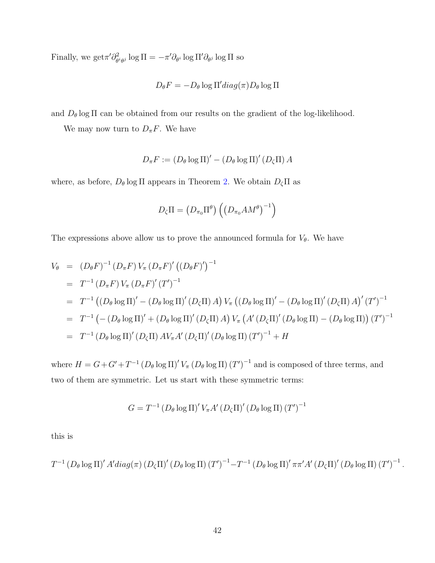Finally, we get  $\pi' \partial^2_\theta$  $\partial^2_{\theta^i\theta^j} \log \Pi = -\pi' \partial_{\theta^i} \log \Pi' \partial_{\theta^j} \log \Pi$  so

$$
D_{\theta}F = -D_{\theta}\log\Pi'diag(\pi)D_{\theta}\log\Pi
$$

and  $D_{\theta}$  log  $\Pi$  can be obtained from our results on the gradient of the log-likelihood.

We may now turn to  $D_{\pi}F$ . We have

$$
D_{\pi}F := (D_{\theta} \log \Pi)' - (D_{\theta} \log \Pi)' (D_{\zeta} \Pi) A
$$

where, as before,  $D_{\theta}$  log  $\Pi$  appears in Theorem [2.](#page-13-0) We obtain  $D_{\zeta}\Pi$  as

$$
D_{\zeta}\Pi = (D_{\pi_0}\Pi^{\theta})\left(\left(D_{\pi_0}AM^{\theta}\right)^{-1}\right)
$$

The expressions above allow us to prove the announced formula for  $V_{\theta}$ . We have

$$
V_{\theta} = (D_{\theta}F)^{-1} (D_{\pi}F) V_{\pi} (D_{\pi}F)' ((D_{\theta}F)')^{-1}
$$
  
\n
$$
= T^{-1} (D_{\pi}F) V_{\pi} (D_{\pi}F)' (T')^{-1}
$$
  
\n
$$
= T^{-1} ((D_{\theta} \log \Pi)' - (D_{\theta} \log \Pi)' (D_{\zeta} \Pi) A) V_{\pi} ((D_{\theta} \log \Pi)' - (D_{\theta} \log \Pi)' (D_{\zeta} \Pi) A)' (T')^{-1}
$$
  
\n
$$
= T^{-1} (-(D_{\theta} \log \Pi)' + (D_{\theta} \log \Pi)' (D_{\zeta} \Pi) A) V_{\pi} (A' (D_{\zeta} \Pi)' (D_{\theta} \log \Pi) - (D_{\theta} \log \Pi) (T')^{-1}
$$
  
\n
$$
= T^{-1} (D_{\theta} \log \Pi)' (D_{\zeta} \Pi) A V_{\pi} A' (D_{\zeta} \Pi)' (D_{\theta} \log \Pi) (T')^{-1} + H
$$

where  $H = G + G' + T^{-1} (D_{\theta} \log \Pi)' V_{\pi} (D_{\theta} \log \Pi) (T')^{-1}$  and is composed of three terms, and two of them are symmetric. Let us start with these symmetric terms:

$$
G = T^{-1} (D_{\theta} \log \Pi)' V_{\pi} A' (D_{\zeta} \Pi)' (D_{\theta} \log \Pi) (T')^{-1}
$$

this is

$$
T^{-1} \left(D_{\theta} \log \Pi\right)' A' diag(\pi) \left(D_{\zeta} \Pi\right)' \left(D_{\theta} \log \Pi\right) (T')^{-1} - T^{-1} \left(D_{\theta} \log \Pi\right)' \pi \pi' A' \left(D_{\zeta} \Pi\right)' \left(D_{\theta} \log \Pi\right) (T')^{-1}.
$$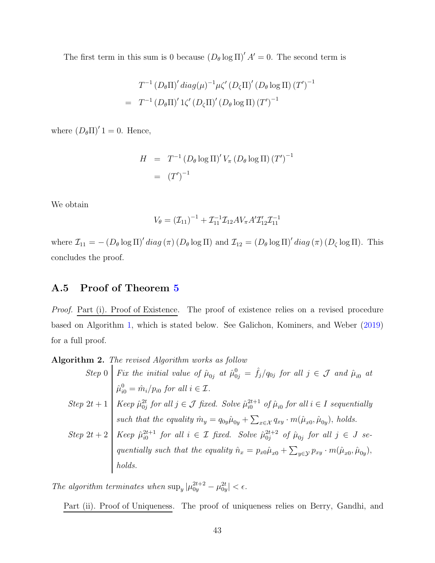The first term in this sum is 0 because  $(D_{\theta} \log \Pi)' A' = 0$ . The second term is

$$
T^{-1} (D_{\theta} \Pi)' diag(\mu)^{-1} \mu \zeta' (D_{\zeta} \Pi)' (D_{\theta} \log \Pi) (T')^{-1}
$$
  
= 
$$
T^{-1} (D_{\theta} \Pi)' 1 \zeta' (D_{\zeta} \Pi)' (D_{\theta} \log \Pi) (T')^{-1}
$$

where  $(D_{\theta} \Pi)'$  1 = 0. Hence,

$$
H = T^{-1} (D_{\theta} \log \Pi)' V_{\pi} (D_{\theta} \log \Pi) (T')^{-1}
$$
  
=  $(T')^{-1}$ 

We obtain

$$
V_{\theta} = (\mathcal{I}_{11})^{-1} + \mathcal{I}_{11}^{-1} \mathcal{I}_{12} A V_{\pi} A' \mathcal{I}_{12}' \mathcal{I}_{11}^{-1}
$$

where  $\mathcal{I}_{11} = - (D_{\theta} \log \Pi)' diag (\pi) (D_{\theta} \log \Pi)$  and  $\mathcal{I}_{12} = (D_{\theta} \log \Pi)' diag (\pi) (D_{\zeta} \log \Pi)$ . This concludes the proof.

# A.5 Proof of Theorem [5](#page-20-1)

Proof. Part (i). Proof of Existence. The proof of existence relies on a revised procedure based on Algorithm [1,](#page-11-1) which is stated below. See Galichon, Kominers, and Weber [\(2019\)](#page-35-2) for a full proof.

Algorithm 2. The revised Algorithm works as follow

Step 0 Fix the initial value of  $\hat{\mu}_{0j}$  at  $\hat{\mu}_{0j}^0 = \hat{f}_j/q_{0j}$  for all  $j \in \mathcal{J}$  and  $\hat{\mu}_{i0}$  at  $\hat{\mu}_{i0}^0 = \hat{m}_i / p_{i0}$  for all  $i \in \mathcal{I}$ .  $Step 2t + 1$  Keep  $\hat{\mu}_{0i}^{2t}$  $\hat{p}_{0j}^{2t}$  for all  $j \in \mathcal{J}$  fixed. Solve  $\hat{\mu}_{i0}^{2t+1}$  of  $\hat{\mu}_{i0}$  for all  $i \in I$  sequentially such that the equality  $\hat{m}_y = q_{0y}\hat{\mu}_{0y} + \sum_{x \in \mathcal{X}} q_{xy} \cdot m(\hat{\mu}_{x0}, \hat{\mu}_{0y}),$  holds.  $Step 2t + 2$  Keep  $\hat{\mu}_{i0}^{2t+1}$  $\hat{\mu}_{i0}^{2t+1}$  for all  $i \in \mathcal{I}$  fixed. Solve  $\hat{\mu}_{0j}^{2t+2}$  of  $\hat{\mu}_{0j}$  for all  $j \in J$  sequentially such that the equality  $\hat{n}_x = p_{x0}\hat{\mu}_{x0} + \sum_{y \in \mathcal{Y}} p_{xy} \cdot m(\hat{\mu}_{x0}, \hat{\mu}_{0y}),$ holds.

The algorithm terminates when  $\sup_y |\mu_{0y}^{2t+2} - \mu_{0y}^{2t}| < \epsilon$ .

Part (ii). Proof of Uniqueness. The proof of uniqueness relies on Berry, Gandhi, and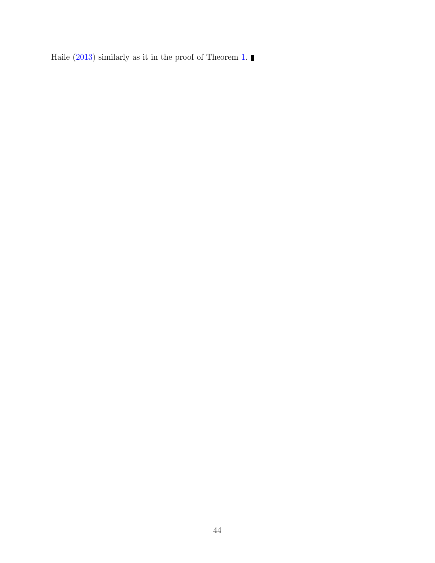Haile [\(2013](#page-34-9)) similarly as it in the proof of Theorem [1.](#page-10-0)  $\blacksquare$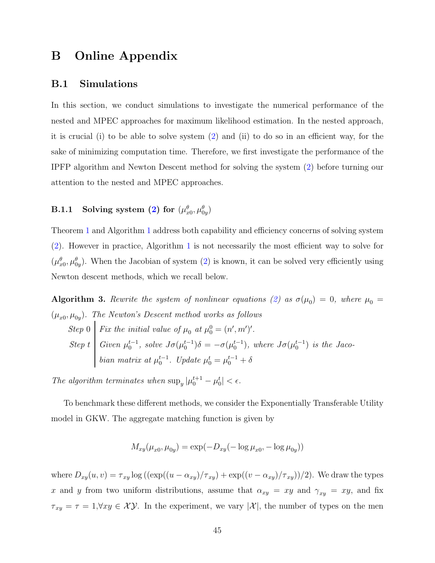# <span id="page-44-0"></span>B Online Appendix

## B.1 Simulations

In this section, we conduct simulations to investigate the numerical performance of the nested and MPEC approaches for maximum likelihood estimation. In the nested approach, it is crucial (i) to be able to solve system [\(2\)](#page-6-0) and (ii) to do so in an efficient way, for the sake of minimizing computation time. Therefore, we first investigate the performance of the IPFP algorithm and Newton Descent method for solving the system [\(2\)](#page-6-0) before turning our attention to the nested and MPEC approaches.

# $\rm B.1.1~~~Solving~ system~(2)~ for~(\mu_{x0}^{\theta},\mu_{0y}^{\theta})$

Theorem [1](#page-10-0) and Algorithm [1](#page-11-1) address both capability and efficiency concerns of solving system [\(2\)](#page-6-0). However in practice, Algorithm [1](#page-11-1) is not necessarily the most efficient way to solve for  $(\mu_{x0}^{\theta}, \mu_{0y}^{\theta})$ . When the Jacobian of system [\(2\)](#page-6-0) is known, it can be solved very efficiently using Newton descent methods, which we recall below.

<span id="page-44-1"></span>**Algorithm 3.** Rewrite the system of nonlinear equations [\(2\)](#page-6-0) as  $\sigma(\mu_0) = 0$ , where  $\mu_0 =$  $(\mu_{x0}, \mu_{0y})$ . The Newton's Descent method works as follows Step 0 | Fix the initial value of  $\mu_0$  at  $\mu_0^0 = (n', m')'.$ Step t Given  $\mu_0^{t-1}$ , solve  $J\sigma(\mu_0^{t-1})\delta = -\sigma(\mu_0^{t-1})$ , where  $J\sigma(\mu_0^{t-1})$  is the Jacobian matrix at  $\mu_0^{t-1}$ . Update  $\mu_0^t = \mu_0^{t-1} + \delta$ 

The algorithm terminates when  $\sup_y |\mu_0^{t+1} - \mu_0^t| < \epsilon$ .

To benchmark these different methods, we consider the Exponentially Transferable Utility model in GKW. The aggregate matching function is given by

$$
M_{xy}(\mu_{x0}, \mu_{0y}) = \exp(-D_{xy}(-\log \mu_{x0}, -\log \mu_{0y}))
$$

where  $D_{xy}(u, v) = \tau_{xy} \log ((\exp((u - \alpha_{xy})/\tau_{xy}) + \exp((v - \alpha_{xy})/\tau_{xy}))/2)$ . We draw the types x and y from two uniform distributions, assume that  $\alpha_{xy} = xy$  and  $\gamma_{xy} = xy$ , and fix  $\tau_{xy} = \tau = 1, \forall xy \in \mathcal{XY}$ . In the experiment, we vary  $|\mathcal{X}|$ , the number of types on the men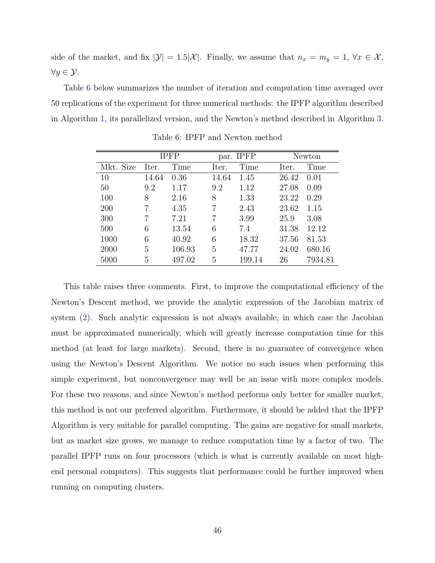side of the market, and fix  $|\mathcal{Y}| = 1.5|\mathcal{X}|$ . Finally, we assume that  $n_x = m_y = 1$ ,  $\forall x \in \mathcal{X}$ ,  $\forall y \in \mathcal{Y}$ .

Table [6](#page-45-0) below summarizes the number of iteration and computation time averaged over 50 replications of the experiment for three numerical methods: the IPFP algorithm described in Algorithm [1,](#page-11-1) its parallelized version, and the Newton's method described in Algorithm [3.](#page-44-1)

<span id="page-45-0"></span>

|           |       | <b>IPFP</b> |       | par. IPFP |       | Newton  |
|-----------|-------|-------------|-------|-----------|-------|---------|
| Mkt. Size | Iter. | Time        | Iter. | Time      | Iter. | Time    |
| 10        | 14.64 | 0.36        | 14.64 | 1.45      | 26.42 | 0.01    |
| 50        | 9.2   | 1.17        | 9.2   | 1.12      | 27.08 | 0.09    |
| 100       | 8     | 2.16        | 8     | 1.33      | 23.22 | 0.29    |
| 200       |       | 4.35        | 7     | 2.43      | 23.62 | 1.15    |
| 300       |       | 7.21        | 7     | 3.99      | 25.9  | 3.08    |
| 500       | 6     | 13.54       | 6     | 7.4       | 31.38 | 12.12   |
| 1000      | 6     | 40.92       | 6     | 18.32     | 37.56 | 81.53   |
| 2000      | 5     | 106.93      | 5     | 47.77     | 24.02 | 680.16  |
| 5000      | 5     | 497.02      | 5     | 199.14    | 26    | 7934.81 |

Table 6: IPFP and Newton method

This table raises three comments. First, to improve the computational efficiency of the Newton's Descent method, we provide the analytic expression of the Jacobian matrix of system [\(2\)](#page-6-0). Such analytic expression is not always available, in which case the Jacobian must be approximated numerically, which will greatly increase computation time for this method (at least for large markets). Second, there is no guarantee of convergence when using the Newton's Descent Algorithm. We notice no such issues when performing this simple experiment, but nonconvergence may well be an issue with more complex models. For these two reasons, and since Newton's method performs only better for smaller market, this method is not our preferred algorithm. Furthermore, it should be added that the IPFP Algorithm is very suitable for parallel computing. The gains are negative for small markets, but as market size grows, we manage to reduce computation time by a factor of two. The parallel IPFP runs on four processors (which is what is currently available on most highend personal computers). This suggests that performance could be further improved when running on computing clusters.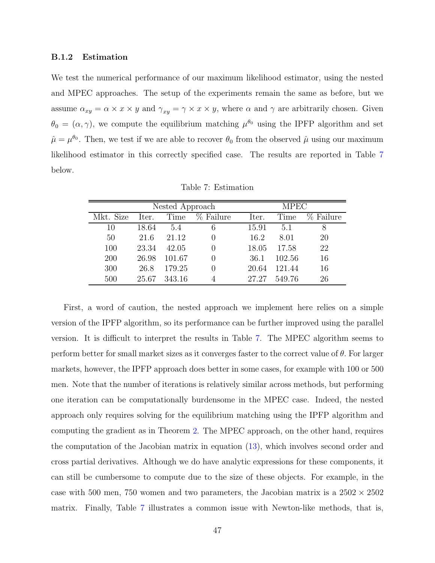#### B.1.2 Estimation

We test the numerical performance of our maximum likelihood estimator, using the nested and MPEC approaches. The setup of the experiments remain the same as before, but we assume  $\alpha_{xy} = \alpha \times x \times y$  and  $\gamma_{xy} = \gamma \times x \times y$ , where  $\alpha$  and  $\gamma$  are arbitrarily chosen. Given  $\theta_0 = (\alpha, \gamma)$ , we compute the equilibrium matching  $\mu^{\theta_0}$  using the IPFP algorithm and set  $\hat{\mu} = \mu^{\theta_0}$ . Then, we test if we are able to recover  $\theta_0$  from the observed  $\hat{\mu}$  using our maximum likelihood estimator in this correctly specified case. The results are reported in Table [7](#page-46-0) below.

| Table 7: Estimation |
|---------------------|
|---------------------|

<span id="page-46-0"></span>

| Nested Approach |       |        |                  |       | <b>MPEC</b> |           |
|-----------------|-------|--------|------------------|-------|-------------|-----------|
| Mkt. Size       | Iter. | Time   | % Failure        | Iter. | Time        | % Failure |
| 10              | 18.64 | 5.4    | 6                | 15.91 | 5.1         |           |
| 50              | 21.6  | 21.12  | 0                | 16.2  | 8.01        | <b>20</b> |
| 100             | 23.34 | 42.05  | $\left( \right)$ | 18.05 | 17.58       | 22        |
| <b>200</b>      | 26.98 | 101.67 | 0                | 36.1  | 102.56      | 16        |
| 300             | 26.8  | 179.25 | $\left( \right)$ | 20.64 | 121.44      | 16        |
| 500             | 25.67 | 343.16 |                  | 27.27 | 549.76      | 26        |

First, a word of caution, the nested approach we implement here relies on a simple version of the IPFP algorithm, so its performance can be further improved using the parallel version. It is difficult to interpret the results in Table [7.](#page-46-0) The MPEC algorithm seems to perform better for small market sizes as it converges faster to the correct value of  $\theta$ . For larger markets, however, the IPFP approach does better in some cases, for example with 100 or 500 men. Note that the number of iterations is relatively similar across methods, but performing one iteration can be computationally burdensome in the MPEC case. Indeed, the nested approach only requires solving for the equilibrium matching using the IPFP algorithm and computing the gradient as in Theorem [2.](#page-13-0) The MPEC approach, on the other hand, requires the computation of the Jacobian matrix in equation [\(13\)](#page-14-0), which involves second order and cross partial derivatives. Although we do have analytic expressions for these components, it can still be cumbersome to compute due to the size of these objects. For example, in the case with 500 men, 750 women and two parameters, the Jacobian matrix is a  $2502 \times 2502$ matrix. Finally, Table [7](#page-46-0) illustrates a common issue with Newton-like methods, that is,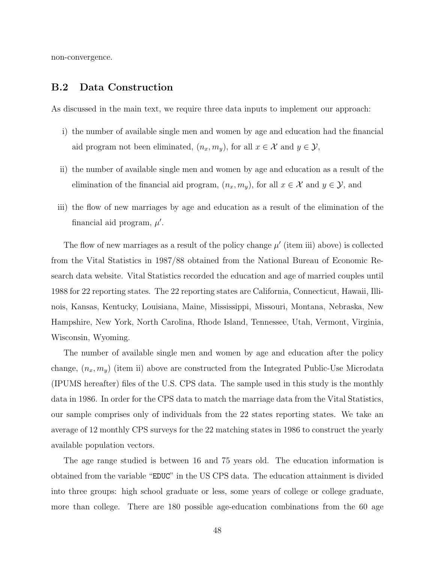<span id="page-47-0"></span>non-convergence.

# B.2 Data Construction

As discussed in the main text, we require three data inputs to implement our approach:

- i) the number of available single men and women by age and education had the financial aid program not been eliminated,  $(n_x, m_y)$ , for all  $x \in \mathcal{X}$  and  $y \in \mathcal{Y}$ ,
- ii) the number of available single men and women by age and education as a result of the elimination of the financial aid program,  $(n_x, m_y)$ , for all  $x \in \mathcal{X}$  and  $y \in \mathcal{Y}$ , and
- iii) the flow of new marriages by age and education as a result of the elimination of the financial aid program,  $\mu'$ .

The flow of new marriages as a result of the policy change  $\mu'$  (item iii) above) is collected from the Vital Statistics in 1987/88 obtained from the National Bureau of Economic Research data website. Vital Statistics recorded the education and age of married couples until 1988 for 22 reporting states. The 22 reporting states are California, Connecticut, Hawaii, Illinois, Kansas, Kentucky, Louisiana, Maine, Mississippi, Missouri, Montana, Nebraska, New Hampshire, New York, North Carolina, Rhode Island, Tennessee, Utah, Vermont, Virginia, Wisconsin, Wyoming.

The number of available single men and women by age and education after the policy change,  $(n_x, m_y)$  (item ii) above are constructed from the Integrated Public-Use Microdata (IPUMS hereafter) files of the U.S. CPS data. The sample used in this study is the monthly data in 1986. In order for the CPS data to match the marriage data from the Vital Statistics, our sample comprises only of individuals from the 22 states reporting states. We take an average of 12 monthly CPS surveys for the 22 matching states in 1986 to construct the yearly available population vectors.

The age range studied is between 16 and 75 years old. The education information is obtained from the variable "EDUC" in the US CPS data. The education attainment is divided into three groups: high school graduate or less, some years of college or college graduate, more than college. There are 180 possible age-education combinations from the 60 age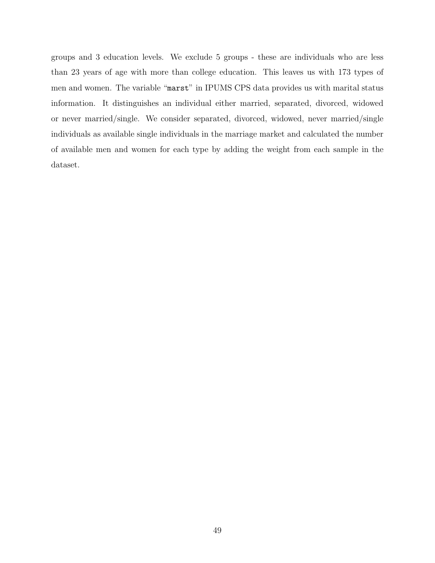groups and 3 education levels. We exclude 5 groups - these are individuals who are less than 23 years of age with more than college education. This leaves us with 173 types of men and women. The variable "marst" in IPUMS CPS data provides us with marital status information. It distinguishes an individual either married, separated, divorced, widowed or never married/single. We consider separated, divorced, widowed, never married/single individuals as available single individuals in the marriage market and calculated the number of available men and women for each type by adding the weight from each sample in the dataset.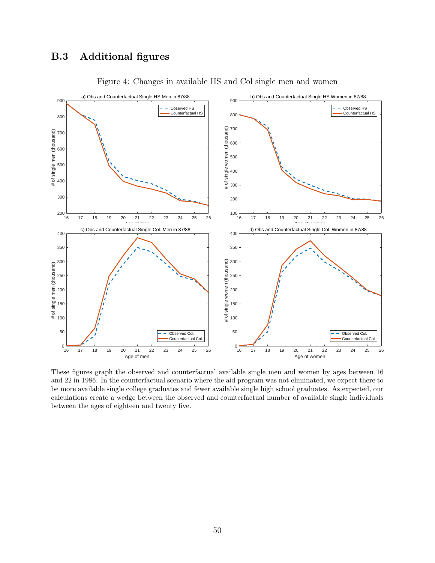# <span id="page-49-1"></span>B.3 Additional figures

<span id="page-49-0"></span>

Figure 4: Changes in available HS and Col single men and women

These figures graph the observed and counterfactual available single men and women by ages between 16 and 22 in 1986. In the counterfactual scenario where the aid program was not eliminated, we expect there to be more available single college graduates and fewer available single high school graduates. As expected, our calculations create a wedge between the observed and counterfactual number of available single individuals between the ages of eighteen and twenty five.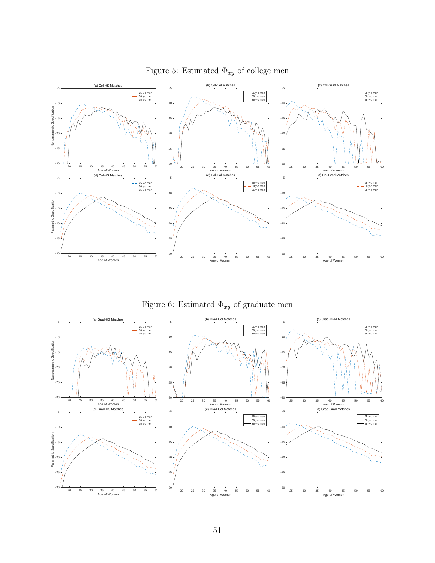<span id="page-50-0"></span>

Figure 5: Estimated  $\Phi_{xy}$  of college men

Figure 6: Estimated  $\Phi_{xy}$  of graduate men

<span id="page-50-1"></span>